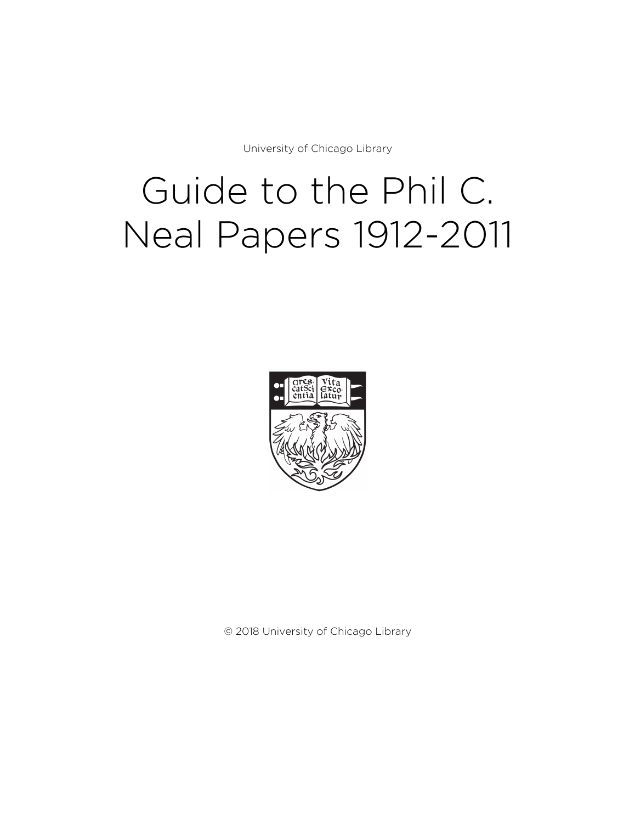University of Chicago Library

# Guide to the Phil C. Neal Papers 1912-2011



© 2018 University of Chicago Library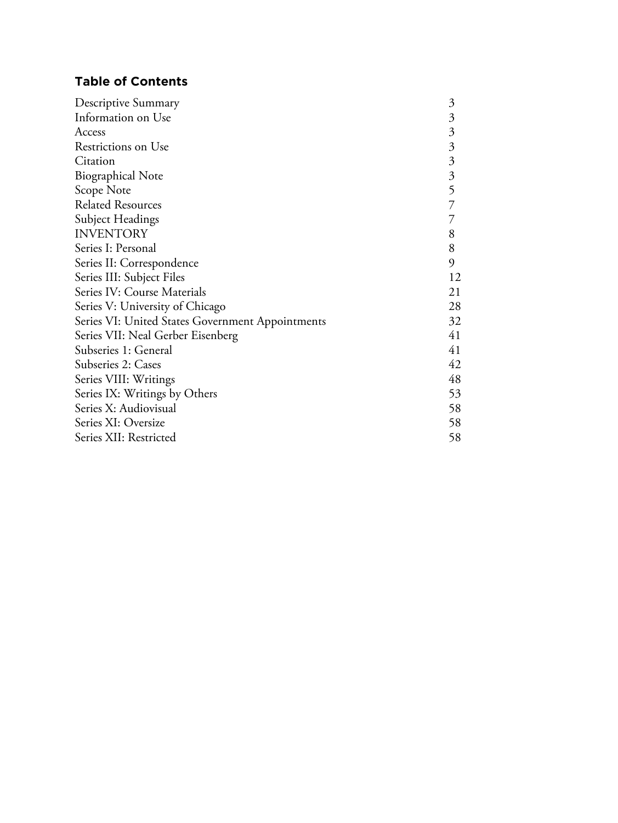# **Table of Contents**

| Descriptive Summary                              | 3              |
|--------------------------------------------------|----------------|
| Information on Use                               | $\mathfrak{Z}$ |
| Access                                           | $\mathfrak{Z}$ |
| Restrictions on Use                              | $\mathfrak{Z}$ |
| Citation                                         | $\mathfrak{Z}$ |
| <b>Biographical Note</b>                         | $\mathfrak{Z}$ |
| Scope Note                                       | 5              |
| <b>Related Resources</b>                         |                |
| Subject Headings                                 | 7              |
| <b>INVENTORY</b>                                 | 8              |
| Series I: Personal                               | 8              |
| Series II: Correspondence                        | 9              |
| Series III: Subject Files                        | 12             |
| Series IV: Course Materials                      | 21             |
| Series V: University of Chicago                  | 28             |
| Series VI: United States Government Appointments | 32             |
| Series VII: Neal Gerber Eisenberg                | 41             |
| Subseries 1: General                             | 41             |
| Subseries 2: Cases                               | 42             |
| Series VIII: Writings                            | 48             |
| Series IX: Writings by Others                    | 53             |
| Series X: Audiovisual                            | 58             |
| Series XI: Oversize                              | 58             |
| Series XII: Restricted                           | 58             |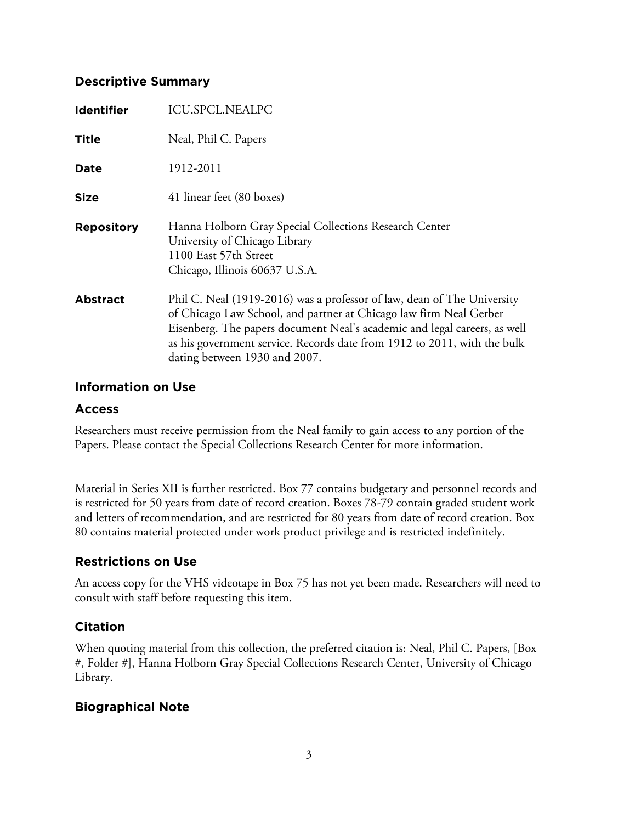# **Descriptive Summary**

| <b>Identifier</b> | <b>ICU.SPCL.NEALPC</b>                                                                                                                                                                                                                                                                                                                  |
|-------------------|-----------------------------------------------------------------------------------------------------------------------------------------------------------------------------------------------------------------------------------------------------------------------------------------------------------------------------------------|
| <b>Title</b>      | Neal, Phil C. Papers                                                                                                                                                                                                                                                                                                                    |
| Date              | 1912-2011                                                                                                                                                                                                                                                                                                                               |
| <b>Size</b>       | 41 linear feet (80 boxes)                                                                                                                                                                                                                                                                                                               |
| <b>Repository</b> | Hanna Holborn Gray Special Collections Research Center<br>University of Chicago Library<br>1100 East 57th Street<br>Chicago, Illinois 60637 U.S.A.                                                                                                                                                                                      |
| <b>Abstract</b>   | Phil C. Neal (1919-2016) was a professor of law, dean of The University<br>of Chicago Law School, and partner at Chicago law firm Neal Gerber<br>Eisenberg. The papers document Neal's academic and legal careers, as well<br>as his government service. Records date from 1912 to 2011, with the bulk<br>dating between 1930 and 2007. |

# **Information on Use**

# **Access**

Researchers must receive permission from the Neal family to gain access to any portion of the Papers. Please contact the Special Collections Research Center for more information.

Material in Series XII is further restricted. Box 77 contains budgetary and personnel records and is restricted for 50 years from date of record creation. Boxes 78-79 contain graded student work and letters of recommendation, and are restricted for 80 years from date of record creation. Box 80 contains material protected under work product privilege and is restricted indefinitely.

# **Restrictions on Use**

An access copy for the VHS videotape in Box 75 has not yet been made. Researchers will need to consult with staff before requesting this item.

# **Citation**

When quoting material from this collection, the preferred citation is: Neal, Phil C. Papers, [Box #, Folder #], Hanna Holborn Gray Special Collections Research Center, University of Chicago Library.

# **Biographical Note**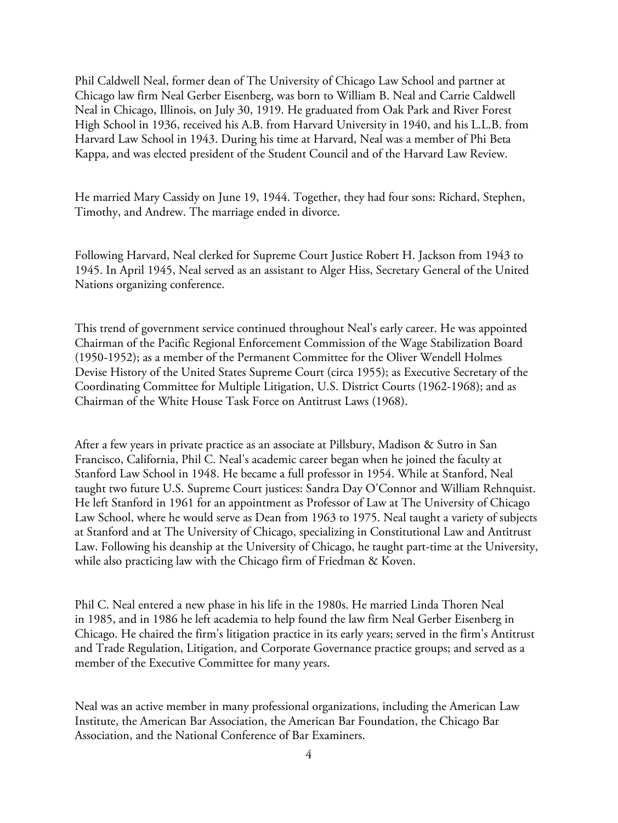Phil Caldwell Neal, former dean of The University of Chicago Law School and partner at Chicago law firm Neal Gerber Eisenberg, was born to William B. Neal and Carrie Caldwell Neal in Chicago, Illinois, on July 30, 1919. He graduated from Oak Park and River Forest High School in 1936, received his A.B. from Harvard University in 1940, and his L.L.B. from Harvard Law School in 1943. During his time at Harvard, Neal was a member of Phi Beta Kappa, and was elected president of the Student Council and of the Harvard Law Review.

He married Mary Cassidy on June 19, 1944. Together, they had four sons: Richard, Stephen, Timothy, and Andrew. The marriage ended in divorce.

Following Harvard, Neal clerked for Supreme Court Justice Robert H. Jackson from 1943 to 1945. In April 1945, Neal served as an assistant to Alger Hiss, Secretary General of the United Nations organizing conference.

This trend of government service continued throughout Neal's early career. He was appointed Chairman of the Pacific Regional Enforcement Commission of the Wage Stabilization Board (1950-1952); as a member of the Permanent Committee for the Oliver Wendell Holmes Devise History of the United States Supreme Court (circa 1955); as Executive Secretary of the Coordinating Committee for Multiple Litigation, U.S. District Courts (1962-1968); and as Chairman of the White House Task Force on Antitrust Laws (1968).

After a few years in private practice as an associate at Pillsbury, Madison & Sutro in San Francisco, California, Phil C. Neal's academic career began when he joined the faculty at Stanford Law School in 1948. He became a full professor in 1954. While at Stanford, Neal taught two future U.S. Supreme Court justices: Sandra Day O'Connor and William Rehnquist. He left Stanford in 1961 for an appointment as Professor of Law at The University of Chicago Law School, where he would serve as Dean from 1963 to 1975. Neal taught a variety of subjects at Stanford and at The University of Chicago, specializing in Constitutional Law and Antitrust Law. Following his deanship at the University of Chicago, he taught part-time at the University, while also practicing law with the Chicago firm of Friedman & Koven.

Phil C. Neal entered a new phase in his life in the 1980s. He married Linda Thoren Neal in 1985, and in 1986 he left academia to help found the law firm Neal Gerber Eisenberg in Chicago. He chaired the firm's litigation practice in its early years; served in the firm's Antitrust and Trade Regulation, Litigation, and Corporate Governance practice groups; and served as a member of the Executive Committee for many years.

Neal was an active member in many professional organizations, including the American Law Institute, the American Bar Association, the American Bar Foundation, the Chicago Bar Association, and the National Conference of Bar Examiners.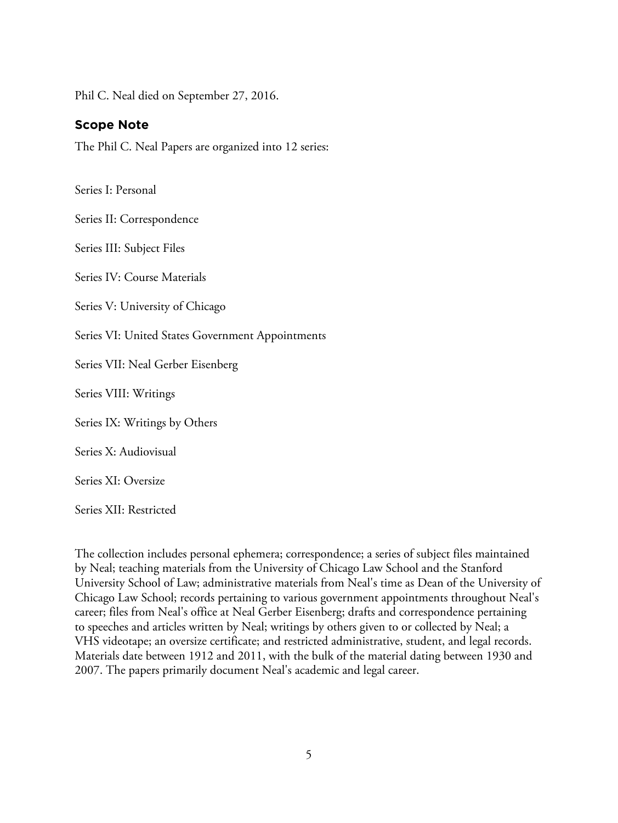Phil C. Neal died on September 27, 2016.

#### **Scope Note**

The Phil C. Neal Papers are organized into 12 series:

Series I: Personal

Series II: Correspondence

Series III: Subject Files

Series IV: Course Materials

Series V: University of Chicago

Series VI: United States Government Appointments

Series VII: Neal Gerber Eisenberg

Series VIII: Writings

Series IX: Writings by Others

Series X: Audiovisual

Series XI: Oversize

Series XII: Restricted

The collection includes personal ephemera; correspondence; a series of subject files maintained by Neal; teaching materials from the University of Chicago Law School and the Stanford University School of Law; administrative materials from Neal's time as Dean of the University of Chicago Law School; records pertaining to various government appointments throughout Neal's career; files from Neal's office at Neal Gerber Eisenberg; drafts and correspondence pertaining to speeches and articles written by Neal; writings by others given to or collected by Neal; a VHS videotape; an oversize certificate; and restricted administrative, student, and legal records. Materials date between 1912 and 2011, with the bulk of the material dating between 1930 and 2007. The papers primarily document Neal's academic and legal career.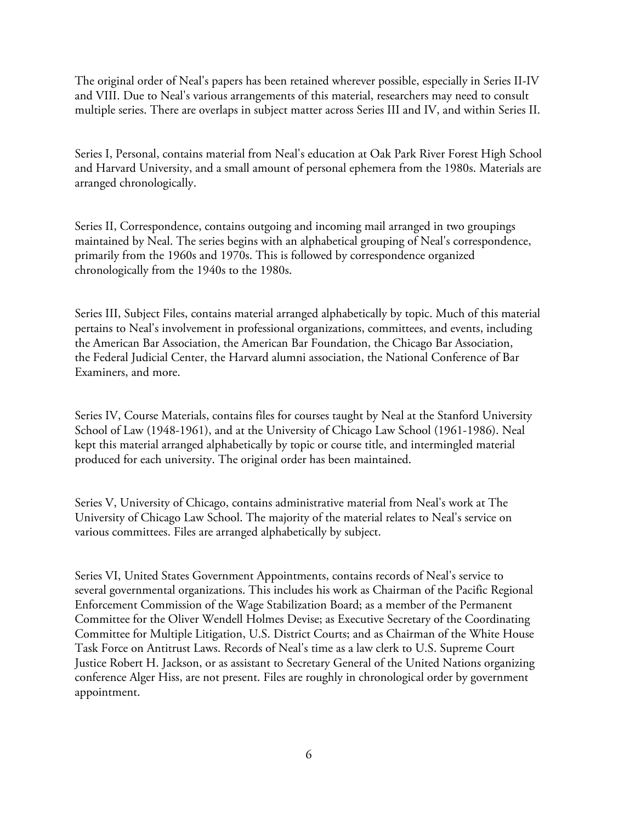The original order of Neal's papers has been retained wherever possible, especially in Series II-IV and VIII. Due to Neal's various arrangements of this material, researchers may need to consult multiple series. There are overlaps in subject matter across Series III and IV, and within Series II.

Series I, Personal, contains material from Neal's education at Oak Park River Forest High School and Harvard University, and a small amount of personal ephemera from the 1980s. Materials are arranged chronologically.

Series II, Correspondence, contains outgoing and incoming mail arranged in two groupings maintained by Neal. The series begins with an alphabetical grouping of Neal's correspondence, primarily from the 1960s and 1970s. This is followed by correspondence organized chronologically from the 1940s to the 1980s.

Series III, Subject Files, contains material arranged alphabetically by topic. Much of this material pertains to Neal's involvement in professional organizations, committees, and events, including the American Bar Association, the American Bar Foundation, the Chicago Bar Association, the Federal Judicial Center, the Harvard alumni association, the National Conference of Bar Examiners, and more.

Series IV, Course Materials, contains files for courses taught by Neal at the Stanford University School of Law (1948-1961), and at the University of Chicago Law School (1961-1986). Neal kept this material arranged alphabetically by topic or course title, and intermingled material produced for each university. The original order has been maintained.

Series V, University of Chicago, contains administrative material from Neal's work at The University of Chicago Law School. The majority of the material relates to Neal's service on various committees. Files are arranged alphabetically by subject.

Series VI, United States Government Appointments, contains records of Neal's service to several governmental organizations. This includes his work as Chairman of the Pacific Regional Enforcement Commission of the Wage Stabilization Board; as a member of the Permanent Committee for the Oliver Wendell Holmes Devise; as Executive Secretary of the Coordinating Committee for Multiple Litigation, U.S. District Courts; and as Chairman of the White House Task Force on Antitrust Laws. Records of Neal's time as a law clerk to U.S. Supreme Court Justice Robert H. Jackson, or as assistant to Secretary General of the United Nations organizing conference Alger Hiss, are not present. Files are roughly in chronological order by government appointment.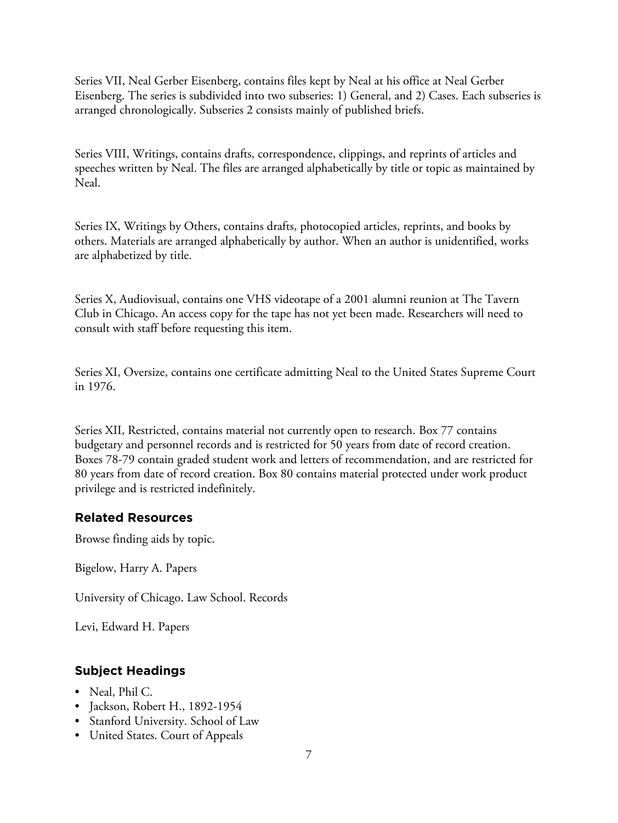Series VII, Neal Gerber Eisenberg, contains files kept by Neal at his office at Neal Gerber Eisenberg. The series is subdivided into two subseries: 1) General, and 2) Cases. Each subseries is arranged chronologically. Subseries 2 consists mainly of published briefs.

Series VIII, Writings, contains drafts, correspondence, clippings, and reprints of articles and speeches written by Neal. The files are arranged alphabetically by title or topic as maintained by Neal.

Series IX, Writings by Others, contains drafts, photocopied articles, reprints, and books by others. Materials are arranged alphabetically by author. When an author is unidentified, works are alphabetized by title.

Series X, Audiovisual, contains one VHS videotape of a 2001 alumni reunion at The Tavern Club in Chicago. An access copy for the tape has not yet been made. Researchers will need to consult with staff before requesting this item.

Series XI, Oversize, contains one certificate admitting Neal to the United States Supreme Court in 1976.

Series XII, Restricted, contains material not currently open to research. Box 77 contains budgetary and personnel records and is restricted for 50 years from date of record creation. Boxes 78-79 contain graded student work and letters of recommendation, and are restricted for 80 years from date of record creation. Box 80 contains material protected under work product privilege and is restricted indefinitely.

# **Related Resources**

Browse finding aids by topic.

Bigelow, Harry A. Papers

University of Chicago. Law School. Records

Levi, Edward H. Papers

# **Subject Headings**

- Neal, Phil C.
- Jackson, Robert H., 1892-1954
- Stanford University. School of Law
- United States. Court of Appeals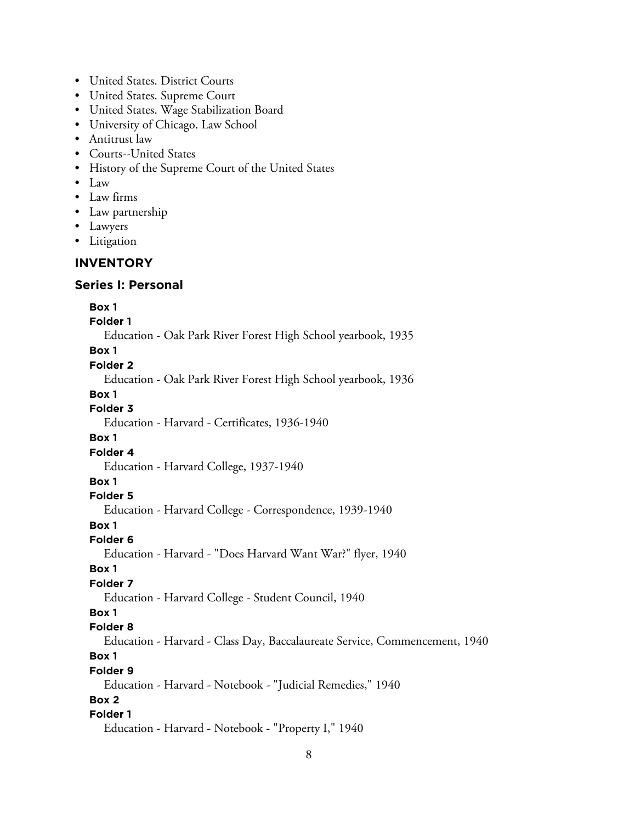- United States. District Courts
- United States. Supreme Court
- United States. Wage Stabilization Board
- University of Chicago. Law School
- Antitrust law
- Courts--United States
- History of the Supreme Court of the United States
- Law
- Law firms
- Law partnership
- Lawyers
- Litigation

## **INVENTORY**

#### **Series I: Personal**

#### **Box 1**

**Folder 1**

Education - Oak Park River Forest High School yearbook, 1935

#### **Box 1**

**Folder 2**

Education - Oak Park River Forest High School yearbook, 1936

#### **Box 1 Folder 3**

Education - Harvard - Certificates, 1936-1940

#### **Box 1**

**Folder 4**

Education - Harvard College, 1937-1940

#### **Box 1**

**Folder 5**

Education - Harvard College - Correspondence, 1939-1940

# **Box 1**

**Folder 6** Education - Harvard - "Does Harvard Want War?" flyer, 1940

#### **Box 1**

#### **Folder 7**

Education - Harvard College - Student Council, 1940

#### **Box 1**

**Folder 8**

Education - Harvard - Class Day, Baccalaureate Service, Commencement, 1940

# **Box 1**

**Folder 9**

Education - Harvard - Notebook - "Judicial Remedies," 1940

# **Box 2**

# **Folder 1**

Education - Harvard - Notebook - "Property I," 1940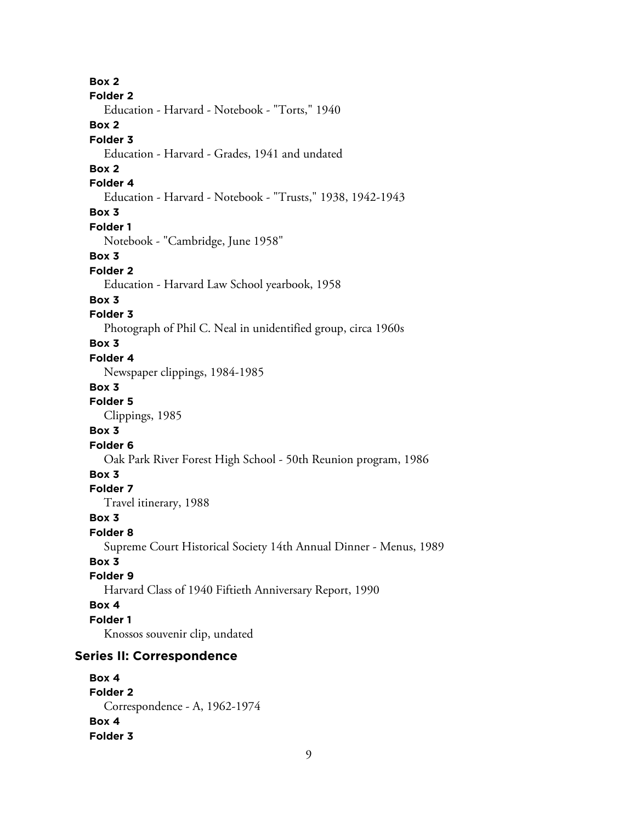**Box 2 Folder 2** Education - Harvard - Notebook - "Torts," 1940 **Box 2 Folder 3** Education - Harvard - Grades, 1941 and undated **Box 2 Folder 4** Education - Harvard - Notebook - "Trusts," 1938, 1942-1943 **Box 3 Folder 1** Notebook - "Cambridge, June 1958" **Box 3 Folder 2** Education - Harvard Law School yearbook, 1958 **Box 3 Folder 3** Photograph of Phil C. Neal in unidentified group, circa 1960s **Box 3 Folder 4** Newspaper clippings, 1984-1985 **Box 3 Folder 5** Clippings, 1985 **Box 3 Folder 6** Oak Park River Forest High School - 50th Reunion program, 1986 **Box 3 Folder 7** Travel itinerary, 1988 **Box 3 Folder 8** Supreme Court Historical Society 14th Annual Dinner - Menus, 1989 **Box 3 Folder 9** Harvard Class of 1940 Fiftieth Anniversary Report, 1990 **Box 4 Folder 1** Knossos souvenir clip, undated **Series II: Correspondence Box 4 Folder 2** Correspondence - A, 1962-1974 **Box 4**

**Folder 3**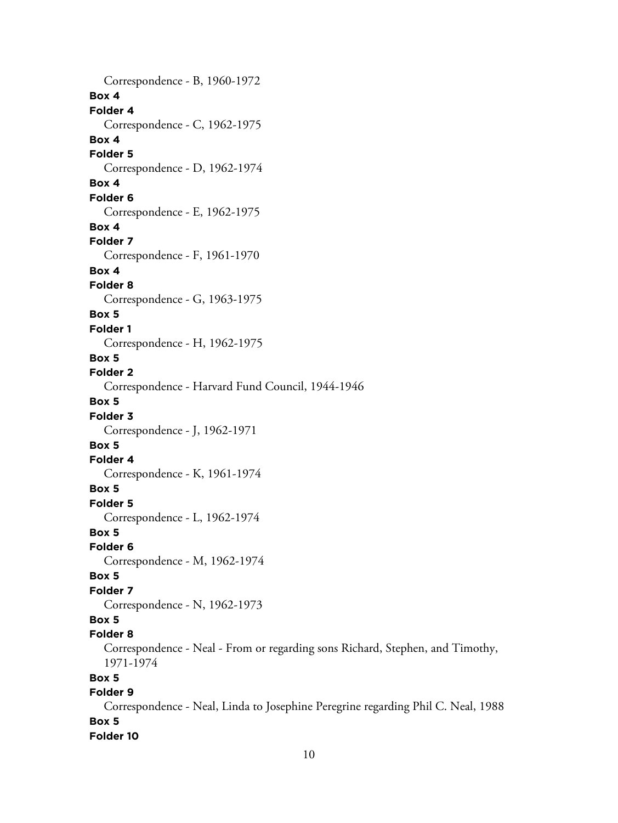Correspondence - B, 1960-1972 **Box 4 Folder 4** Correspondence - C, 1962-1975 **Box 4 Folder 5** Correspondence - D, 1962-1974 **Box 4 Folder 6** Correspondence - E, 1962-1975 **Box 4 Folder 7** Correspondence - F, 1961-1970 **Box 4 Folder 8** Correspondence - G, 1963-1975 **Box 5 Folder 1** Correspondence - H, 1962-1975 **Box 5 Folder 2** Correspondence - Harvard Fund Council, 1944-1946 **Box 5 Folder 3** Correspondence - J, 1962-1971 **Box 5 Folder 4** Correspondence - K, 1961-1974 **Box 5 Folder 5** Correspondence - L, 1962-1974 **Box 5 Folder 6** Correspondence - M, 1962-1974 **Box 5 Folder 7** Correspondence - N, 1962-1973 **Box 5 Folder 8** Correspondence - Neal - From or regarding sons Richard, Stephen, and Timothy, 1971-1974 **Box 5 Folder 9** Correspondence - Neal, Linda to Josephine Peregrine regarding Phil C. Neal, 1988 **Box 5**

**Folder 10**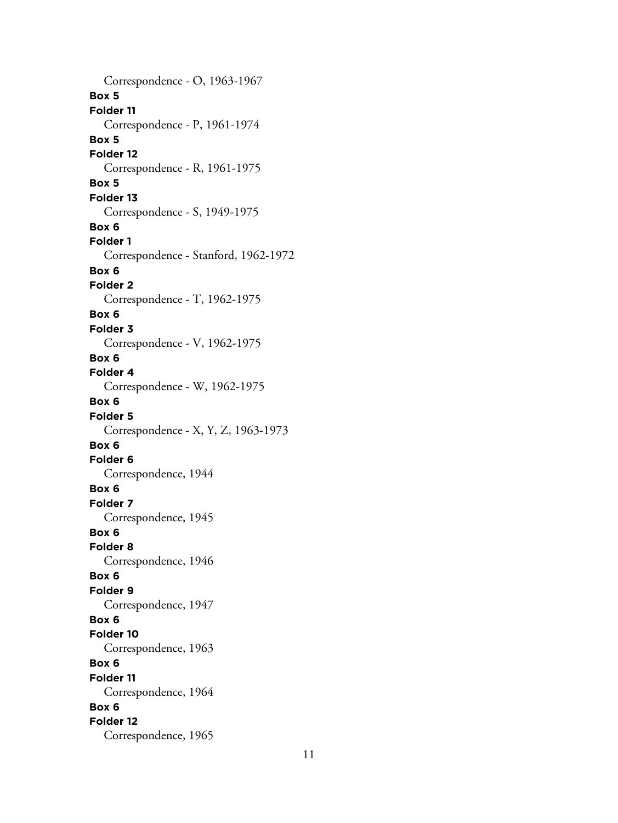Correspondence - O, 1963-1967 **Box 5 Folder 11** Correspondence - P, 1961-1974 **Box 5 Folder 12** Correspondence - R, 1961-1975 **Box 5 Folder 13** Correspondence - S, 1949-1975 **Box 6 Folder 1** Correspondence - Stanford, 1962-1972 **Box 6 Folder 2** Correspondence - T, 1962-1975 **Box 6 Folder 3** Correspondence - V, 1962-1975 **Box 6 Folder 4** Correspondence - W, 1962-1975 **Box 6 Folder 5** Correspondence - X, Y, Z, 1963-1973 **Box 6 Folder 6** Correspondence, 1944 **Box 6 Folder 7** Correspondence, 1945 **Box 6 Folder 8** Correspondence, 1946 **Box 6 Folder 9** Correspondence, 1947 **Box 6 Folder 10** Correspondence, 1963 **Box 6 Folder 11** Correspondence, 1964 **Box 6 Folder 12** Correspondence, 1965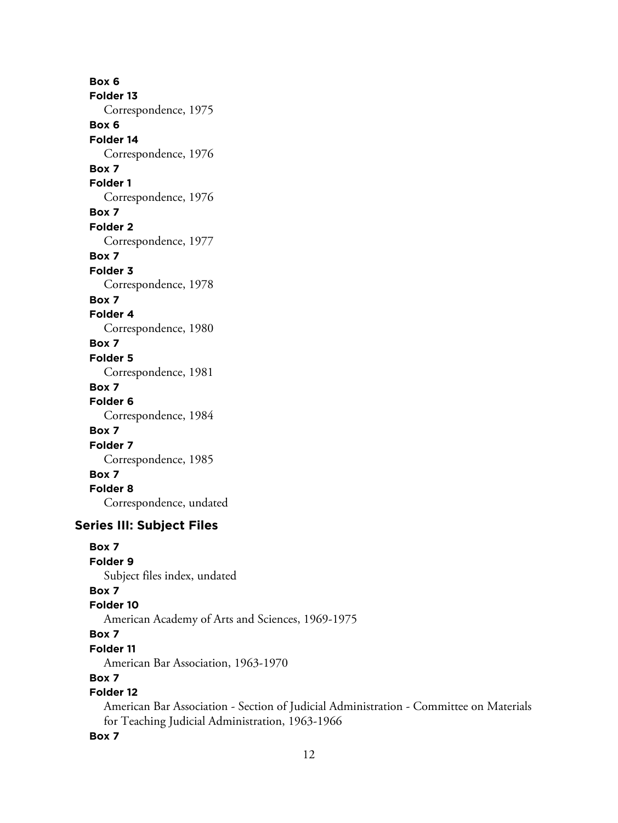**Box 6 Folder 13** Correspondence, 1975 **Box 6 Folder 14** Correspondence, 1976 **Box 7 Folder 1** Correspondence, 1976 **Box 7 Folder 2** Correspondence, 1977 **Box 7 Folder 3** Correspondence, 1978 **Box 7 Folder 4** Correspondence, 1980 **Box 7 Folder 5** Correspondence, 1981 **Box 7 Folder 6** Correspondence, 1984 **Box 7 Folder 7** Correspondence, 1985 **Box 7 Folder 8** Correspondence, undated

# **Series III: Subject Files**

**Box 7**

**Folder 9**

Subject files index, undated

# **Box 7**

**Folder 10**

American Academy of Arts and Sciences, 1969-1975

# **Box 7**

**Folder 11**

American Bar Association, 1963-1970

# **Box 7**

# **Folder 12**

American Bar Association - Section of Judicial Administration - Committee on Materials for Teaching Judicial Administration, 1963-1966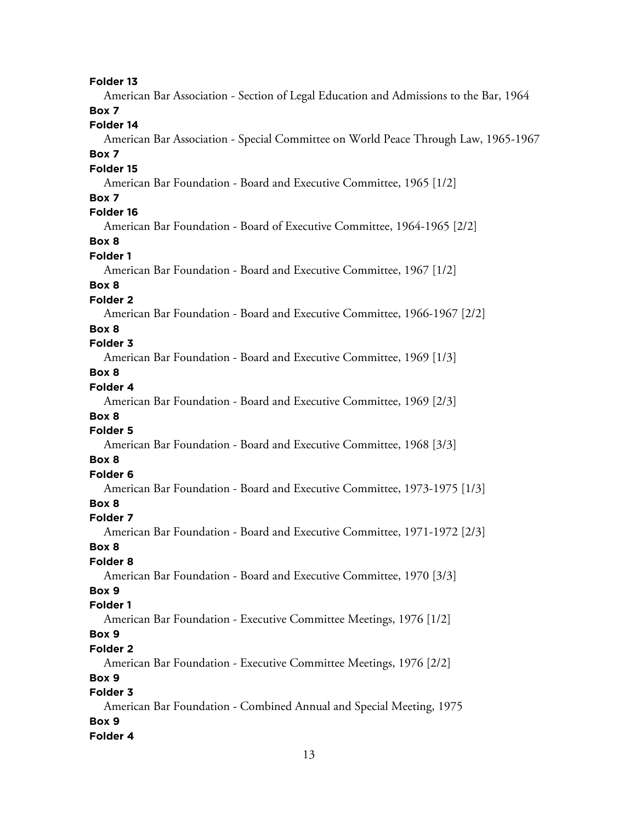American Bar Association - Section of Legal Education and Admissions to the Bar, 1964

### **Box 7**

### **Folder 14**

American Bar Association - Special Committee on World Peace Through Law, 1965-1967

#### **Box 7**

#### **Folder 15**

American Bar Foundation - Board and Executive Committee, 1965 [1/2]

#### **Box 7**

#### **Folder 16**

American Bar Foundation - Board of Executive Committee, 1964-1965 [2/2]

### **Box 8**

#### **Folder 1**

American Bar Foundation - Board and Executive Committee, 1967 [1/2]

#### **Box 8**

#### **Folder 2**

American Bar Foundation - Board and Executive Committee, 1966-1967 [2/2]

#### **Box 8**

### **Folder 3**

American Bar Foundation - Board and Executive Committee, 1969 [1/3]

# **Box 8**

# **Folder 4**

American Bar Foundation - Board and Executive Committee, 1969 [2/3]

### **Box 8**

### **Folder 5**

American Bar Foundation - Board and Executive Committee, 1968 [3/3]

#### **Box 8**

### **Folder 6**

American Bar Foundation - Board and Executive Committee, 1973-1975 [1/3]

### **Box 8**

#### **Folder 7**

American Bar Foundation - Board and Executive Committee, 1971-1972 [2/3]

#### **Box 8**

#### **Folder 8**

American Bar Foundation - Board and Executive Committee, 1970 [3/3]

# **Box 9**

### **Folder 1**

American Bar Foundation - Executive Committee Meetings, 1976 [1/2]

### **Box 9**

#### **Folder 2**

American Bar Foundation - Executive Committee Meetings, 1976 [2/2]

#### **Box 9**

#### **Folder 3**

American Bar Foundation - Combined Annual and Special Meeting, 1975 **Box 9 Folder 4**

#### 13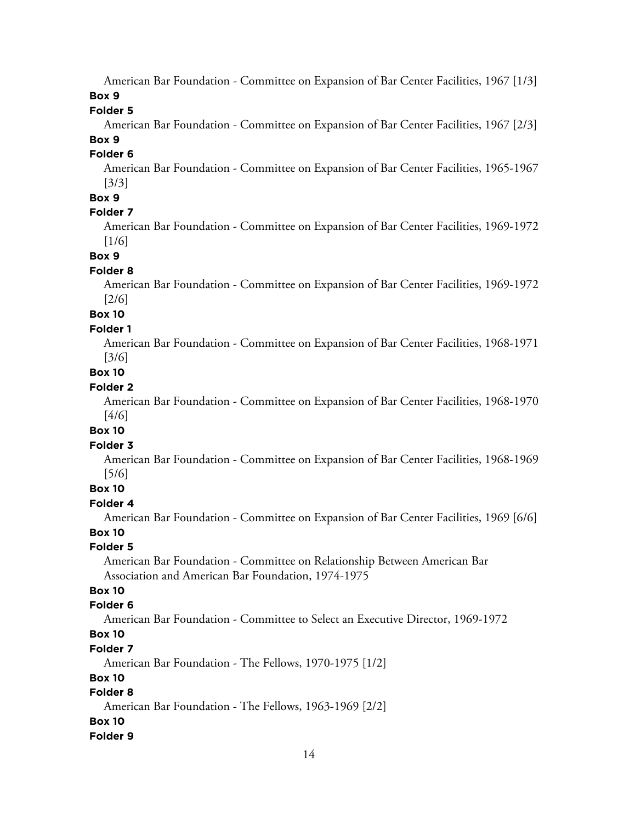American Bar Foundation - Committee on Expansion of Bar Center Facilities, 1967 [1/3]

**Box 9**

**Folder 5**

American Bar Foundation - Committee on Expansion of Bar Center Facilities, 1967 [2/3]

**Box 9 Folder 6**

> American Bar Foundation - Committee on Expansion of Bar Center Facilities, 1965-1967 [3/3]

### **Box 9**

### **Folder 7**

American Bar Foundation - Committee on Expansion of Bar Center Facilities, 1969-1972 [1/6]

**Box 9**

### **Folder 8**

American Bar Foundation - Committee on Expansion of Bar Center Facilities, 1969-1972 [2/6]

# **Box 10**

**Folder 1**

American Bar Foundation - Committee on Expansion of Bar Center Facilities, 1968-1971 [3/6]

# **Box 10**

# **Folder 2**

American Bar Foundation - Committee on Expansion of Bar Center Facilities, 1968-1970 [4/6]

#### **Box 10**

### **Folder 3**

American Bar Foundation - Committee on Expansion of Bar Center Facilities, 1968-1969 [5/6]

#### **Box 10**

#### **Folder 4**

American Bar Foundation - Committee on Expansion of Bar Center Facilities, 1969 [6/6]

#### **Box 10**

### **Folder 5**

American Bar Foundation - Committee on Relationship Between American Bar Association and American Bar Foundation, 1974-1975

### **Box 10**

### **Folder 6**

American Bar Foundation - Committee to Select an Executive Director, 1969-1972

# **Box 10**

#### **Folder 7**

American Bar Foundation - The Fellows, 1970-1975 [1/2]

### **Box 10**

# **Folder 8**

American Bar Foundation - The Fellows, 1963-1969 [2/2]

#### **Box 10**

#### **Folder 9**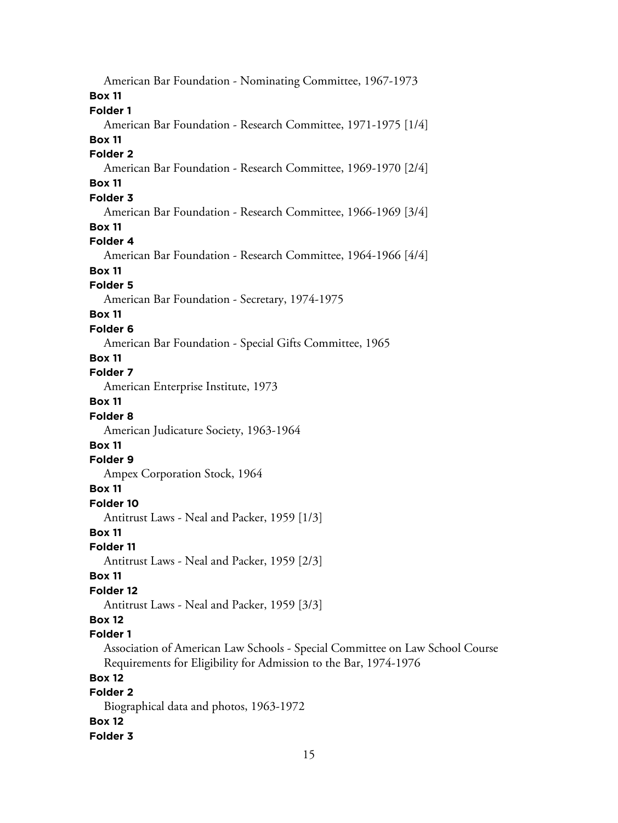American Bar Foundation - Nominating Committee, 1967-1973 **Box 11 Folder 1** American Bar Foundation - Research Committee, 1971-1975 [1/4] **Box 11 Folder 2** American Bar Foundation - Research Committee, 1969-1970 [2/4] **Box 11 Folder 3** American Bar Foundation - Research Committee, 1966-1969 [3/4] **Box 11 Folder 4** American Bar Foundation - Research Committee, 1964-1966 [4/4] **Box 11 Folder 5** American Bar Foundation - Secretary, 1974-1975 **Box 11 Folder 6** American Bar Foundation - Special Gifts Committee, 1965 **Box 11 Folder 7** American Enterprise Institute, 1973 **Box 11 Folder 8** American Judicature Society, 1963-1964 **Box 11 Folder 9** Ampex Corporation Stock, 1964 **Box 11 Folder 10** Antitrust Laws - Neal and Packer, 1959 [1/3] **Box 11 Folder 11** Antitrust Laws - Neal and Packer, 1959 [2/3] **Box 11 Folder 12** Antitrust Laws - Neal and Packer, 1959 [3/3] **Box 12 Folder 1** Association of American Law Schools - Special Committee on Law School Course Requirements for Eligibility for Admission to the Bar, 1974-1976 **Box 12 Folder 2** Biographical data and photos, 1963-1972 **Box 12 Folder 3**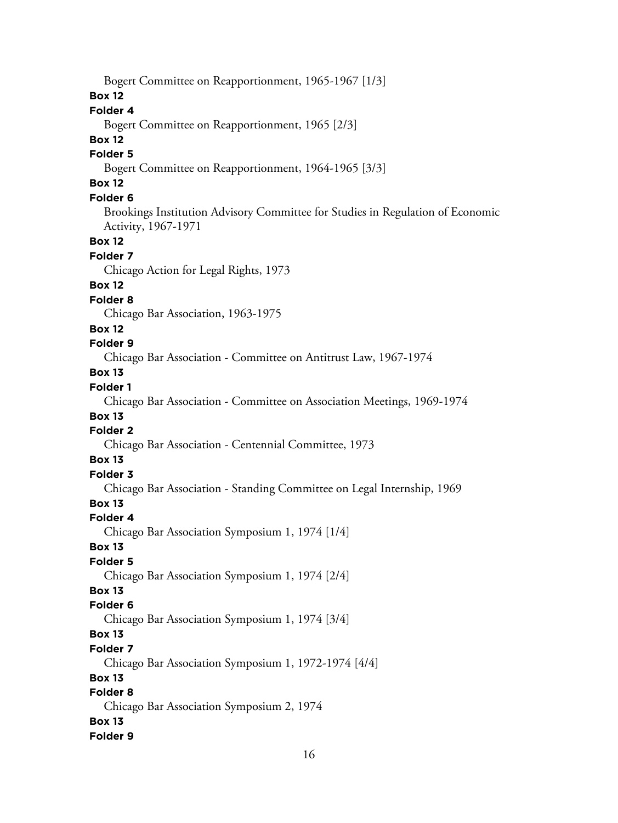Bogert Committee on Reapportionment, 1965-1967 [1/3] **Box 12 Folder 4** Bogert Committee on Reapportionment, 1965 [2/3] **Box 12 Folder 5** Bogert Committee on Reapportionment, 1964-1965 [3/3] **Box 12 Folder 6** Brookings Institution Advisory Committee for Studies in Regulation of Economic Activity, 1967-1971 **Box 12 Folder 7** Chicago Action for Legal Rights, 1973 **Box 12 Folder 8** Chicago Bar Association, 1963-1975 **Box 12 Folder 9** Chicago Bar Association - Committee on Antitrust Law, 1967-1974 **Box 13 Folder 1** Chicago Bar Association - Committee on Association Meetings, 1969-1974 **Box 13 Folder 2** Chicago Bar Association - Centennial Committee, 1973 **Box 13 Folder 3** Chicago Bar Association - Standing Committee on Legal Internship, 1969 **Box 13 Folder 4** Chicago Bar Association Symposium 1, 1974 [1/4] **Box 13 Folder 5** Chicago Bar Association Symposium 1, 1974 [2/4] **Box 13 Folder 6** Chicago Bar Association Symposium 1, 1974 [3/4] **Box 13 Folder 7** Chicago Bar Association Symposium 1, 1972-1974 [4/4] **Box 13 Folder 8** Chicago Bar Association Symposium 2, 1974 **Box 13 Folder 9**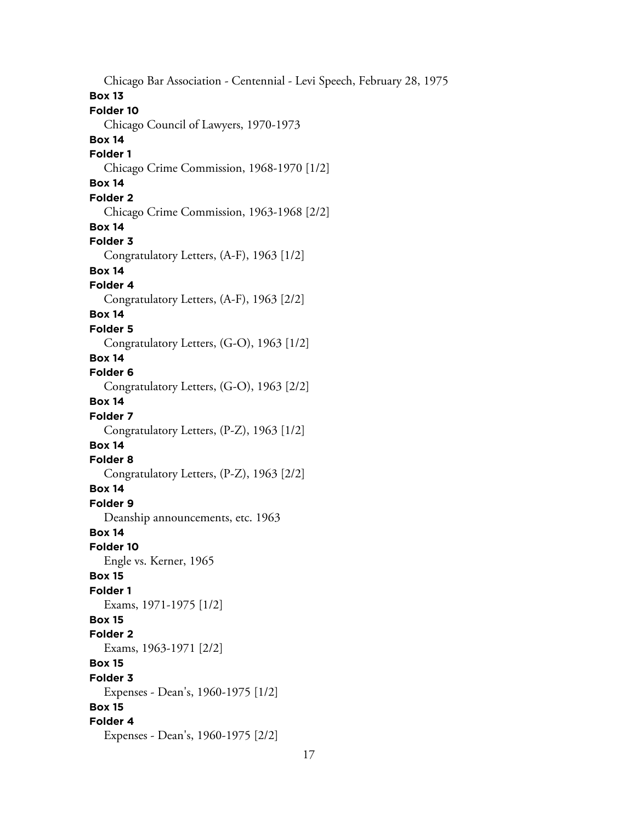Chicago Bar Association - Centennial - Levi Speech, February 28, 1975 **Box 13 Folder 10** Chicago Council of Lawyers, 1970-1973 **Box 14 Folder 1** Chicago Crime Commission, 1968-1970 [1/2] **Box 14 Folder 2** Chicago Crime Commission, 1963-1968 [2/2] **Box 14 Folder 3** Congratulatory Letters, (A-F), 1963 [1/2] **Box 14 Folder 4** Congratulatory Letters, (A-F), 1963 [2/2] **Box 14 Folder 5** Congratulatory Letters, (G-O), 1963 [1/2] **Box 14 Folder 6** Congratulatory Letters, (G-O), 1963 [2/2] **Box 14 Folder 7** Congratulatory Letters, (P-Z), 1963 [1/2] **Box 14 Folder 8** Congratulatory Letters, (P-Z), 1963 [2/2] **Box 14 Folder 9** Deanship announcements, etc. 1963 **Box 14 Folder 10** Engle vs. Kerner, 1965 **Box 15 Folder 1** Exams, 1971-1975 [1/2] **Box 15 Folder 2** Exams, 1963-1971 [2/2] **Box 15 Folder 3** Expenses - Dean's, 1960-1975 [1/2] **Box 15 Folder 4** Expenses - Dean's, 1960-1975 [2/2]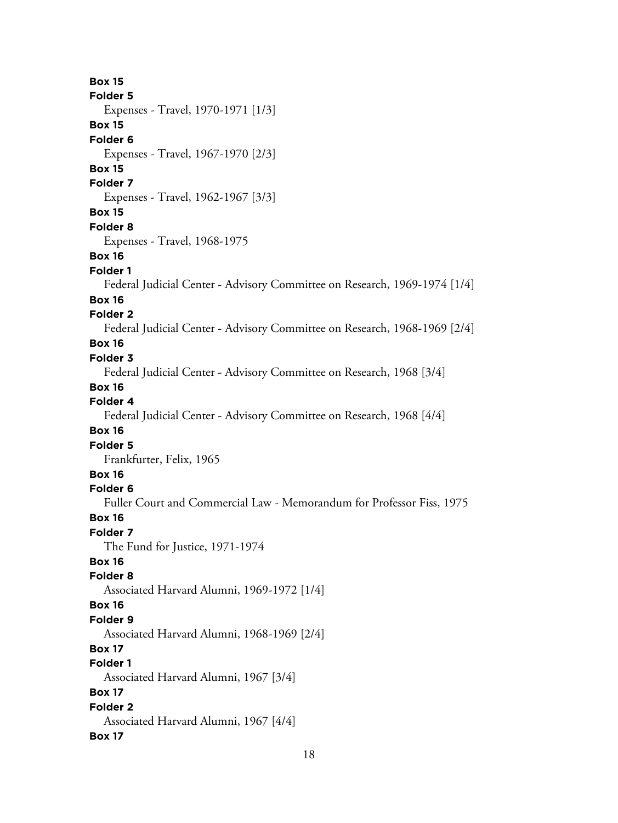**Box 15 Folder 5** Expenses - Travel, 1970-1971 [1/3] **Box 15 Folder 6** Expenses - Travel, 1967-1970 [2/3] **Box 15 Folder 7** Expenses - Travel, 1962-1967 [3/3] **Box 15 Folder 8** Expenses - Travel, 1968-1975 **Box 16 Folder 1** Federal Judicial Center - Advisory Committee on Research, 1969-1974 [1/4] **Box 16 Folder 2** Federal Judicial Center - Advisory Committee on Research, 1968-1969 [2/4] **Box 16 Folder 3** Federal Judicial Center - Advisory Committee on Research, 1968 [3/4] **Box 16 Folder 4** Federal Judicial Center - Advisory Committee on Research, 1968 [4/4] **Box 16 Folder 5** Frankfurter, Felix, 1965 **Box 16 Folder 6** Fuller Court and Commercial Law - Memorandum for Professor Fiss, 1975 **Box 16 Folder 7** The Fund for Justice, 1971-1974 **Box 16 Folder 8** Associated Harvard Alumni, 1969-1972 [1/4] **Box 16 Folder 9** Associated Harvard Alumni, 1968-1969 [2/4] **Box 17 Folder 1** Associated Harvard Alumni, 1967 [3/4] **Box 17 Folder 2** Associated Harvard Alumni, 1967 [4/4] **Box 17**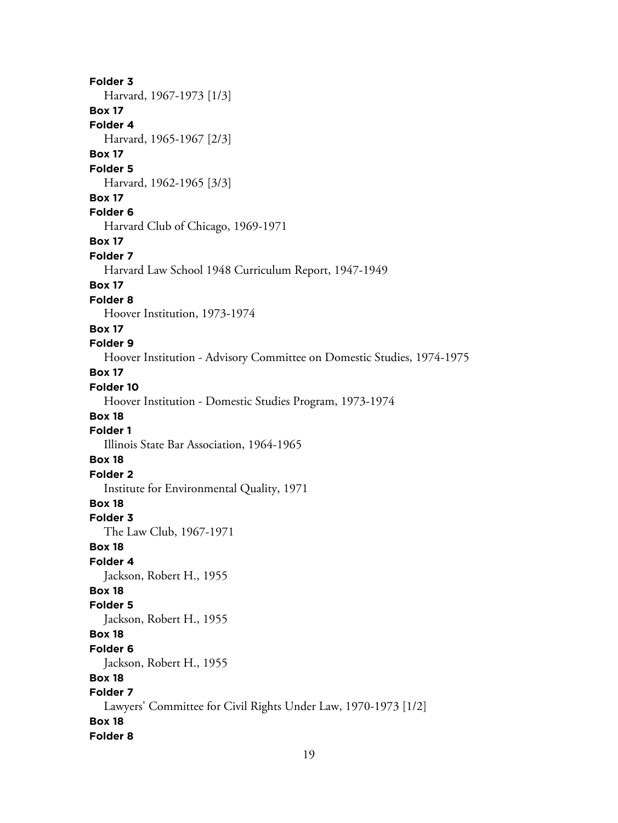**Folder 3** Harvard, 1967-1973 [1/3] **Box 17 Folder 4** Harvard, 1965-1967 [2/3] **Box 17 Folder 5** Harvard, 1962-1965 [3/3] **Box 17 Folder 6** Harvard Club of Chicago, 1969-1971 **Box 17 Folder 7** Harvard Law School 1948 Curriculum Report, 1947-1949 **Box 17 Folder 8** Hoover Institution, 1973-1974 **Box 17 Folder 9** Hoover Institution - Advisory Committee on Domestic Studies, 1974-1975 **Box 17 Folder 10** Hoover Institution - Domestic Studies Program, 1973-1974 **Box 18 Folder 1** Illinois State Bar Association, 1964-1965 **Box 18 Folder 2** Institute for Environmental Quality, 1971 **Box 18 Folder 3** The Law Club, 1967-1971 **Box 18 Folder 4** Jackson, Robert H., 1955 **Box 18 Folder 5** Jackson, Robert H., 1955 **Box 18 Folder 6** Jackson, Robert H., 1955 **Box 18 Folder 7** Lawyers' Committee for Civil Rights Under Law, 1970-1973 [1/2] **Box 18 Folder 8**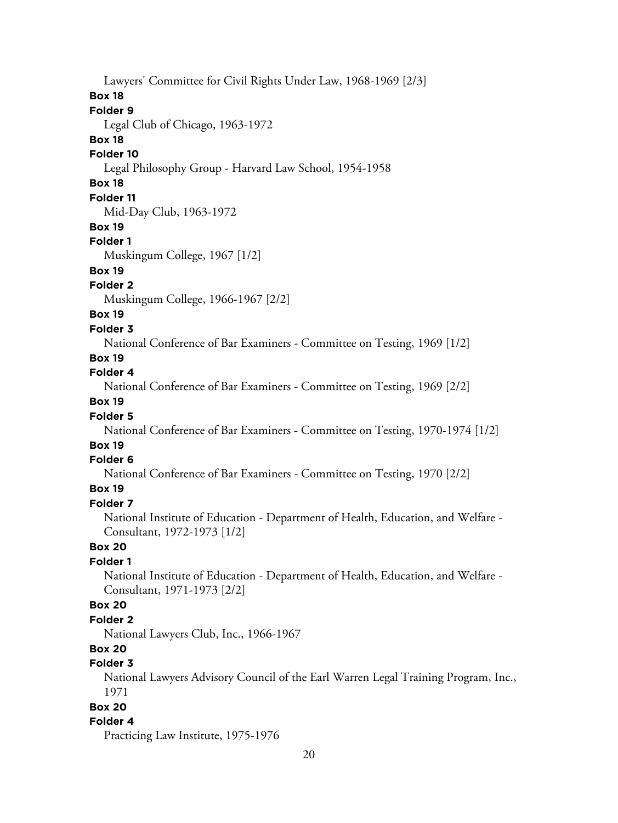Lawyers' Committee for Civil Rights Under Law, 1968-1969 [2/3] **Box 18 Folder 9** Legal Club of Chicago, 1963-1972 **Box 18 Folder 10** Legal Philosophy Group - Harvard Law School, 1954-1958 **Box 18 Folder 11** Mid-Day Club, 1963-1972 **Box 19 Folder 1** Muskingum College, 1967 [1/2] **Box 19 Folder 2** Muskingum College, 1966-1967 [2/2] **Box 19 Folder 3** National Conference of Bar Examiners - Committee on Testing, 1969 [1/2] **Box 19 Folder 4** National Conference of Bar Examiners - Committee on Testing, 1969 [2/2] **Box 19 Folder 5** National Conference of Bar Examiners - Committee on Testing, 1970-1974 [1/2] **Box 19 Folder 6**

National Conference of Bar Examiners - Committee on Testing, 1970 [2/2]

# **Box 19**

**Folder 7** National Institute of Education - Department of Health, Education, and Welfare - Consultant, 1972-1973 [1/2]

#### **Box 20**

#### **Folder 1**

National Institute of Education - Department of Health, Education, and Welfare - Consultant, 1971-1973 [2/2]

#### **Box 20**

#### **Folder 2**

National Lawyers Club, Inc., 1966-1967

# **Box 20**

# **Folder 3**

National Lawyers Advisory Council of the Earl Warren Legal Training Program, Inc., 1971

#### **Box 20**

#### **Folder 4**

Practicing Law Institute, 1975-1976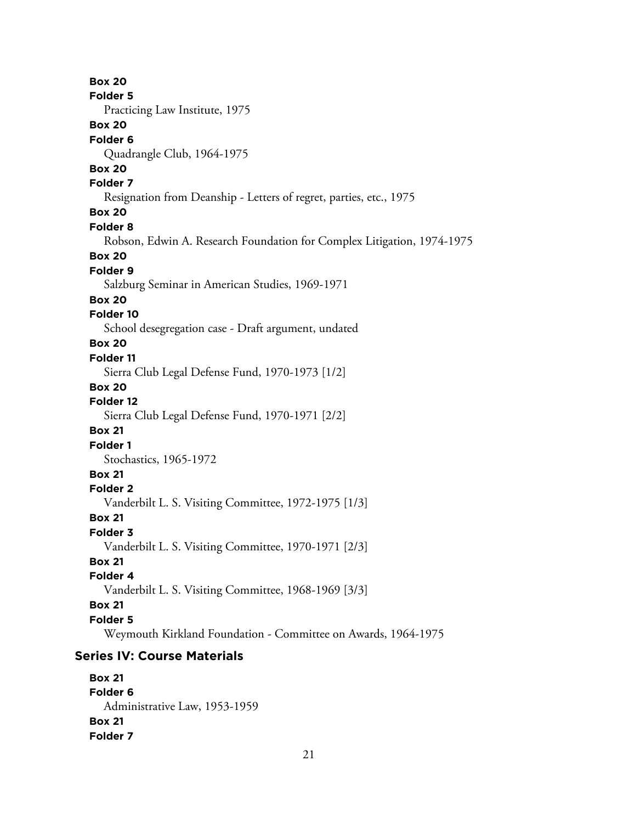**Box 20 Folder 5** Practicing Law Institute, 1975 **Box 20 Folder 6** Quadrangle Club, 1964-1975 **Box 20 Folder 7** Resignation from Deanship - Letters of regret, parties, etc., 1975 **Box 20 Folder 8** Robson, Edwin A. Research Foundation for Complex Litigation, 1974-1975 **Box 20 Folder 9** Salzburg Seminar in American Studies, 1969-1971 **Box 20 Folder 10** School desegregation case - Draft argument, undated **Box 20 Folder 11** Sierra Club Legal Defense Fund, 1970-1973 [1/2] **Box 20 Folder 12** Sierra Club Legal Defense Fund, 1970-1971 [2/2] **Box 21 Folder 1** Stochastics, 1965-1972 **Box 21 Folder 2** Vanderbilt L. S. Visiting Committee, 1972-1975 [1/3] **Box 21 Folder 3** Vanderbilt L. S. Visiting Committee, 1970-1971 [2/3] **Box 21 Folder 4** Vanderbilt L. S. Visiting Committee, 1968-1969 [3/3] **Box 21 Folder 5** Weymouth Kirkland Foundation - Committee on Awards, 1964-1975 **Series IV: Course Materials**

**Box 21 Folder 6** Administrative Law, 1953-1959 **Box 21 Folder 7**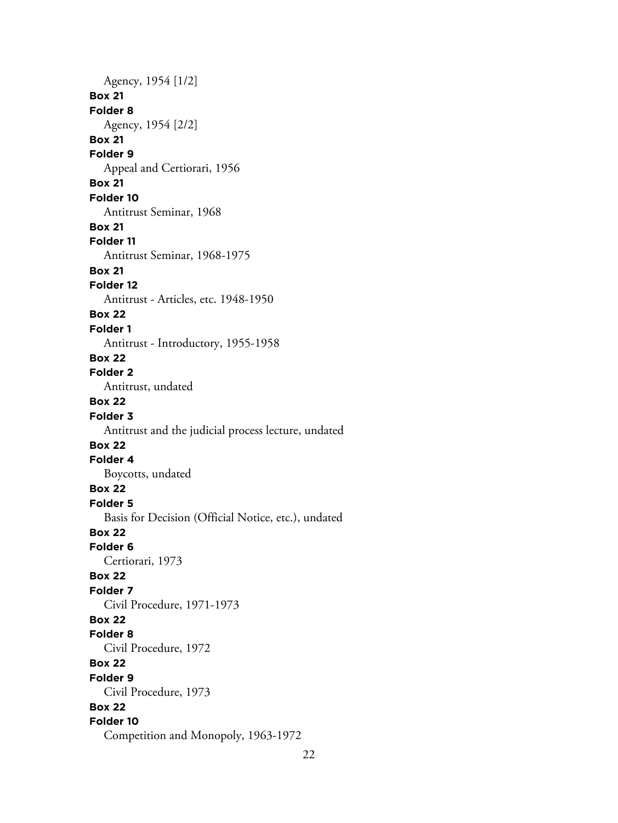Agency, 1954 [1/2] **Box 21 Folder 8** Agency, 1954 [2/2] **Box 21 Folder 9** Appeal and Certiorari, 1956 **Box 21 Folder 10** Antitrust Seminar, 1968 **Box 21 Folder 11** Antitrust Seminar, 1968-1975 **Box 21 Folder 12** Antitrust - Articles, etc. 1948-1950 **Box 22 Folder 1** Antitrust - Introductory, 1955-1958 **Box 22 Folder 2** Antitrust, undated **Box 22 Folder 3** Antitrust and the judicial process lecture, undated **Box 22 Folder 4** Boycotts, undated **Box 22 Folder 5** Basis for Decision (Official Notice, etc.), undated **Box 22 Folder 6** Certiorari, 1973 **Box 22 Folder 7** Civil Procedure, 1971-1973 **Box 22 Folder 8** Civil Procedure, 1972 **Box 22 Folder 9** Civil Procedure, 1973 **Box 22 Folder 10** Competition and Monopoly, 1963-1972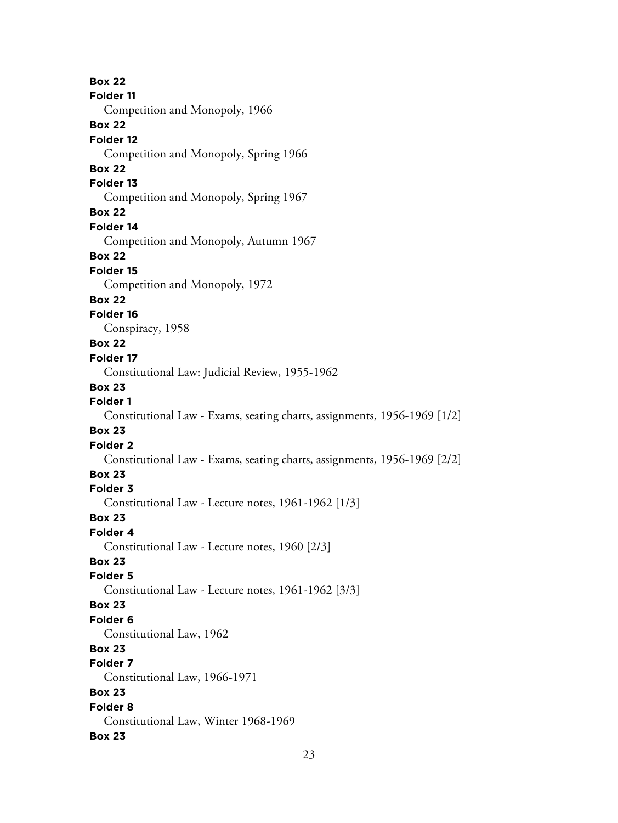**Box 22 Folder 11** Competition and Monopoly, 1966 **Box 22 Folder 12** Competition and Monopoly, Spring 1966 **Box 22 Folder 13** Competition and Monopoly, Spring 1967 **Box 22 Folder 14** Competition and Monopoly, Autumn 1967 **Box 22 Folder 15** Competition and Monopoly, 1972 **Box 22 Folder 16** Conspiracy, 1958 **Box 22 Folder 17** Constitutional Law: Judicial Review, 1955-1962 **Box 23 Folder 1** Constitutional Law - Exams, seating charts, assignments, 1956-1969 [1/2] **Box 23 Folder 2** Constitutional Law - Exams, seating charts, assignments, 1956-1969 [2/2] **Box 23 Folder 3** Constitutional Law - Lecture notes, 1961-1962 [1/3] **Box 23 Folder 4** Constitutional Law - Lecture notes, 1960 [2/3] **Box 23 Folder 5** Constitutional Law - Lecture notes, 1961-1962 [3/3] **Box 23 Folder 6** Constitutional Law, 1962 **Box 23 Folder 7** Constitutional Law, 1966-1971 **Box 23 Folder 8** Constitutional Law, Winter 1968-1969 **Box 23**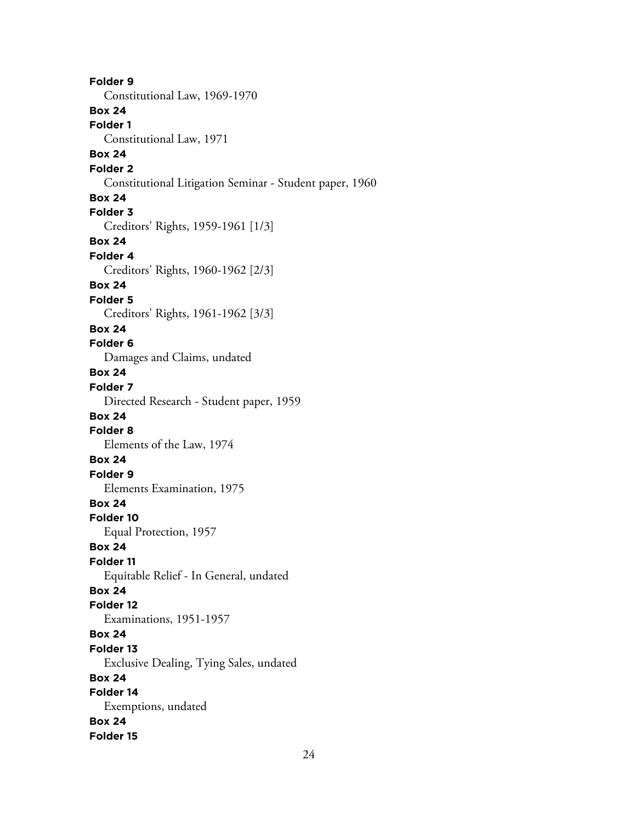**Folder 9** Constitutional Law, 1969-1970 **Box 24 Folder 1** Constitutional Law, 1971 **Box 24 Folder 2** Constitutional Litigation Seminar - Student paper, 1960 **Box 24 Folder 3** Creditors' Rights, 1959-1961 [1/3] **Box 24 Folder 4** Creditors' Rights, 1960-1962 [2/3] **Box 24 Folder 5** Creditors' Rights, 1961-1962 [3/3] **Box 24 Folder 6** Damages and Claims, undated **Box 24 Folder 7** Directed Research - Student paper, 1959 **Box 24 Folder 8** Elements of the Law, 1974 **Box 24 Folder 9** Elements Examination, 1975 **Box 24 Folder 10** Equal Protection, 1957 **Box 24 Folder 11** Equitable Relief - In General, undated **Box 24 Folder 12** Examinations, 1951-1957 **Box 24 Folder 13** Exclusive Dealing, Tying Sales, undated **Box 24 Folder 14** Exemptions, undated **Box 24 Folder 15**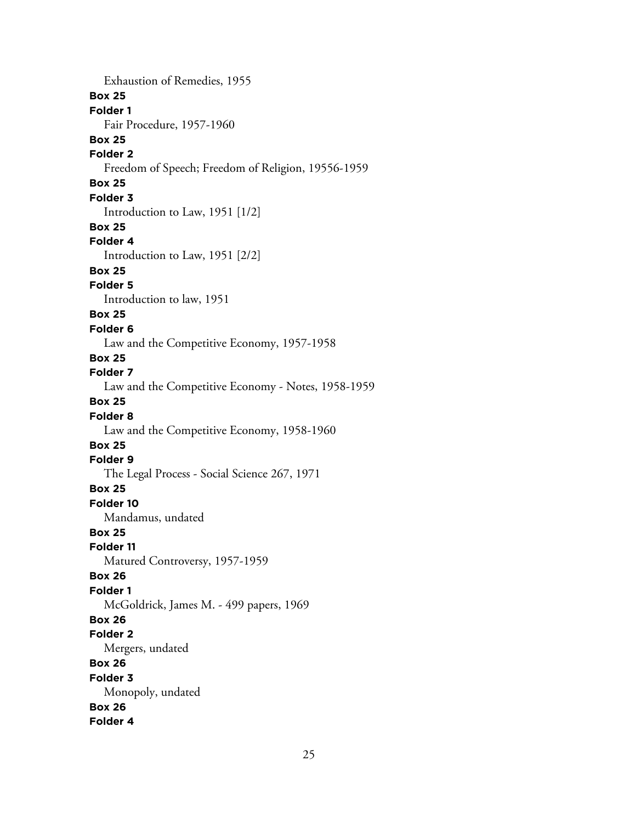Exhaustion of Remedies, 1955 **Box 25 Folder 1** Fair Procedure, 1957-1960 **Box 25 Folder 2** Freedom of Speech; Freedom of Religion, 19556-1959 **Box 25 Folder 3** Introduction to Law, 1951 [1/2] **Box 25 Folder 4** Introduction to Law, 1951 [2/2] **Box 25 Folder 5** Introduction to law, 1951 **Box 25 Folder 6** Law and the Competitive Economy, 1957-1958 **Box 25 Folder 7** Law and the Competitive Economy - Notes, 1958-1959 **Box 25 Folder 8** Law and the Competitive Economy, 1958-1960 **Box 25 Folder 9** The Legal Process - Social Science 267, 1971 **Box 25 Folder 10** Mandamus, undated **Box 25 Folder 11** Matured Controversy, 1957-1959 **Box 26 Folder 1** McGoldrick, James M. - 499 papers, 1969 **Box 26 Folder 2** Mergers, undated **Box 26 Folder 3** Monopoly, undated **Box 26 Folder 4**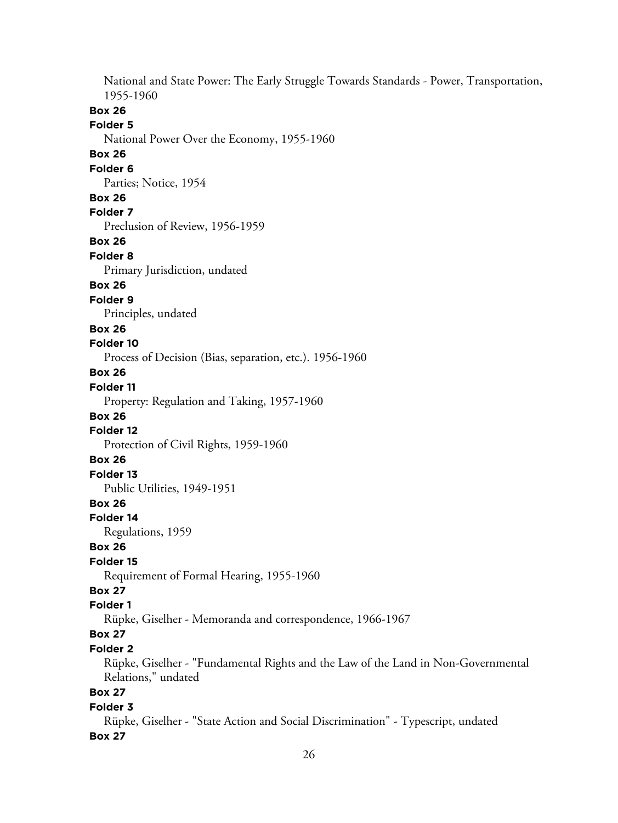National and State Power: The Early Struggle Towards Standards - Power, Transportation, 1955-1960 **Box 26 Folder 5** National Power Over the Economy, 1955-1960 **Box 26 Folder 6** Parties; Notice, 1954 **Box 26 Folder 7** Preclusion of Review, 1956-1959 **Box 26 Folder 8** Primary Jurisdiction, undated **Box 26 Folder 9** Principles, undated **Box 26 Folder 10** Process of Decision (Bias, separation, etc.). 1956-1960 **Box 26 Folder 11** Property: Regulation and Taking, 1957-1960 **Box 26 Folder 12** Protection of Civil Rights, 1959-1960 **Box 26 Folder 13** Public Utilities, 1949-1951 **Box 26 Folder 14** Regulations, 1959 **Box 26 Folder 15** Requirement of Formal Hearing, 1955-1960 **Box 27 Folder 1** Rüpke, Giselher - Memoranda and correspondence, 1966-1967 **Box 27 Folder 2** Rüpke, Giselher - "Fundamental Rights and the Law of the Land in Non-Governmental Relations," undated **Box 27 Folder 3** Rüpke, Giselher - "State Action and Social Discrimination" - Typescript, undated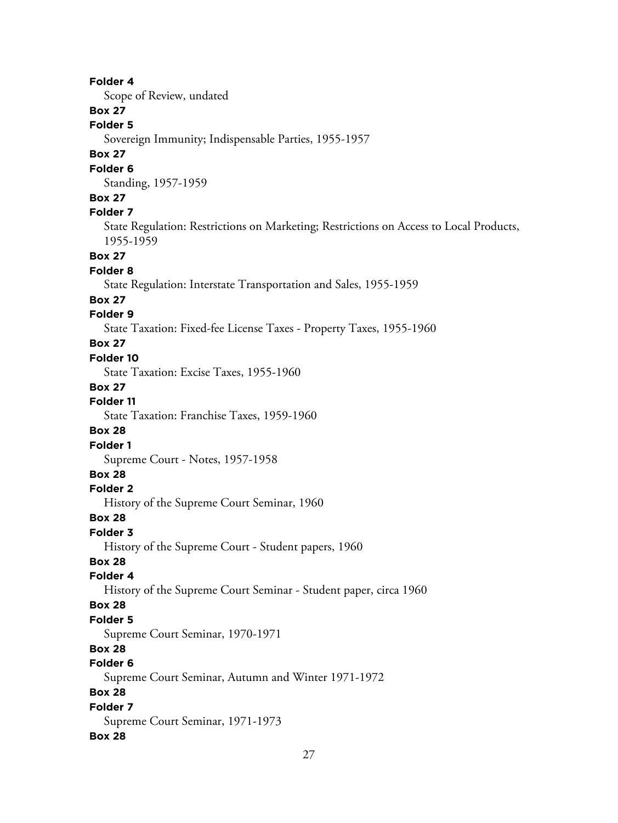Scope of Review, undated

# **Box 27**

**Folder 5**

Sovereign Immunity; Indispensable Parties, 1955-1957

### **Box 27**

#### **Folder 6**

Standing, 1957-1959

### **Box 27**

### **Folder 7**

State Regulation: Restrictions on Marketing; Restrictions on Access to Local Products, 1955-1959

#### **Box 27**

#### **Folder 8**

State Regulation: Interstate Transportation and Sales, 1955-1959

#### **Box 27**

#### **Folder 9**

State Taxation: Fixed-fee License Taxes - Property Taxes, 1955-1960

### **Box 27**

#### **Folder 10**

State Taxation: Excise Taxes, 1955-1960

#### **Box 27**

**Folder 11**

State Taxation: Franchise Taxes, 1959-1960

### **Box 28**

# **Folder 1**

Supreme Court - Notes, 1957-1958

# **Box 28**

#### **Folder 2**

History of the Supreme Court Seminar, 1960

#### **Box 28**

### **Folder 3**

History of the Supreme Court - Student papers, 1960

#### **Box 28**

#### **Folder 4**

History of the Supreme Court Seminar - Student paper, circa 1960

#### **Box 28**

#### **Folder 5**

Supreme Court Seminar, 1970-1971

# **Box 28**

# **Folder 6**

Supreme Court Seminar, Autumn and Winter 1971-1972

# **Box 28**

#### **Folder 7** Supreme Court Seminar, 1971-1973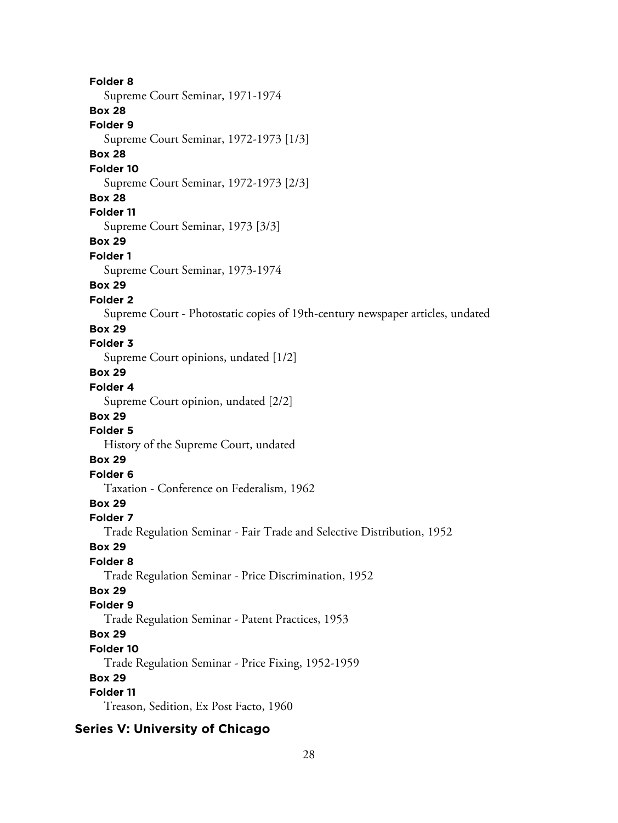**Folder 8** Supreme Court Seminar, 1971-1974 **Box 28 Folder 9** Supreme Court Seminar, 1972-1973 [1/3] **Box 28 Folder 10** Supreme Court Seminar, 1972-1973 [2/3] **Box 28 Folder 11** Supreme Court Seminar, 1973 [3/3] **Box 29 Folder 1** Supreme Court Seminar, 1973-1974 **Box 29 Folder 2** Supreme Court - Photostatic copies of 19th-century newspaper articles, undated **Box 29 Folder 3** Supreme Court opinions, undated [1/2] **Box 29 Folder 4** Supreme Court opinion, undated [2/2] **Box 29 Folder 5** History of the Supreme Court, undated **Box 29 Folder 6** Taxation - Conference on Federalism, 1962 **Box 29 Folder 7** Trade Regulation Seminar - Fair Trade and Selective Distribution, 1952 **Box 29 Folder 8** Trade Regulation Seminar - Price Discrimination, 1952 **Box 29 Folder 9** Trade Regulation Seminar - Patent Practices, 1953 **Box 29 Folder 10** Trade Regulation Seminar - Price Fixing, 1952-1959 **Box 29 Folder 11** Treason, Sedition, Ex Post Facto, 1960

# **Series V: University of Chicago**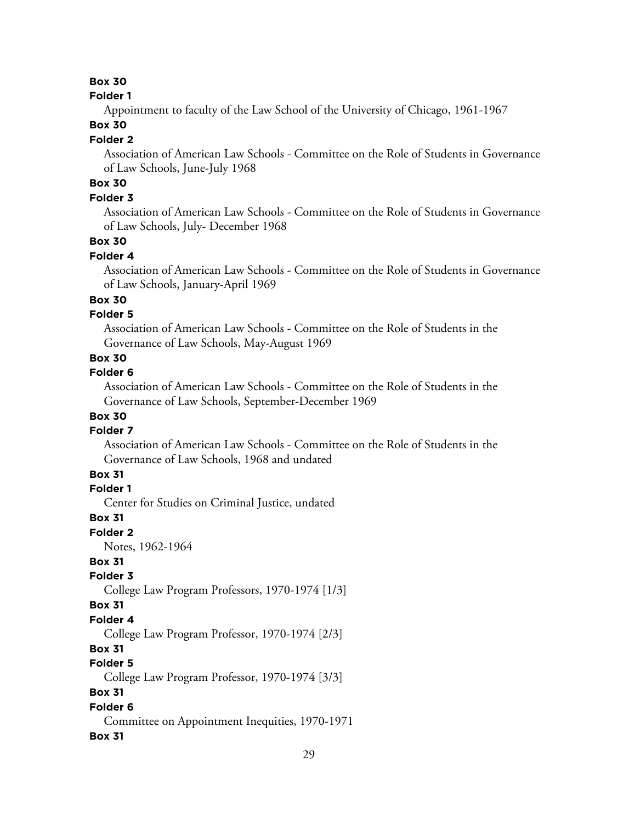# **Box 30**

#### **Folder 1**

Appointment to faculty of the Law School of the University of Chicago, 1961-1967

### **Box 30**

#### **Folder 2**

Association of American Law Schools - Committee on the Role of Students in Governance of Law Schools, June-July 1968

# **Box 30**

# **Folder 3**

Association of American Law Schools - Committee on the Role of Students in Governance of Law Schools, July- December 1968

### **Box 30**

#### **Folder 4**

Association of American Law Schools - Committee on the Role of Students in Governance of Law Schools, January-April 1969

### **Box 30**

### **Folder 5**

Association of American Law Schools - Committee on the Role of Students in the Governance of Law Schools, May-August 1969

### **Box 30**

### **Folder 6**

Association of American Law Schools - Committee on the Role of Students in the Governance of Law Schools, September-December 1969

## **Box 30**

#### **Folder 7**

Association of American Law Schools - Committee on the Role of Students in the Governance of Law Schools, 1968 and undated

# **Box 31**

#### **Folder 1**

Center for Studies on Criminal Justice, undated

#### **Box 31**

**Folder 2**

Notes, 1962-1964

# **Box 31**

### **Folder 3**

College Law Program Professors, 1970-1974 [1/3]

#### **Box 31**

### **Folder 4**

College Law Program Professor, 1970-1974 [2/3]

# **Box 31**

# **Folder 5**

College Law Program Professor, 1970-1974 [3/3]

### **Box 31**

### **Folder 6**

Committee on Appointment Inequities, 1970-1971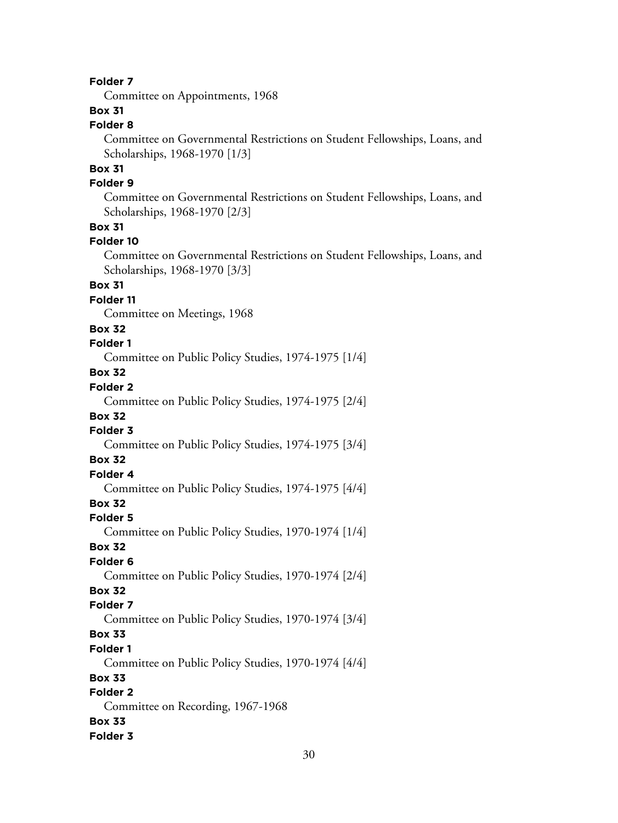Committee on Appointments, 1968

# **Box 31**

**Folder 8**

Committee on Governmental Restrictions on Student Fellowships, Loans, and Scholarships, 1968-1970 [1/3]

# **Box 31**

# **Folder 9**

Committee on Governmental Restrictions on Student Fellowships, Loans, and Scholarships, 1968-1970 [2/3]

#### **Box 31**

#### **Folder 10**

Committee on Governmental Restrictions on Student Fellowships, Loans, and Scholarships, 1968-1970 [3/3]

### **Box 31**

**Folder 11**

Committee on Meetings, 1968

#### **Box 32**

# **Folder 1**

Committee on Public Policy Studies, 1974-1975 [1/4]

# **Box 32**

# **Folder 2**

Committee on Public Policy Studies, 1974-1975 [2/4]

## **Box 32**

# **Folder 3**

Committee on Public Policy Studies, 1974-1975 [3/4]

# **Box 32**

# **Folder 4**

Committee on Public Policy Studies, 1974-1975 [4/4]

# **Box 32**

#### **Folder 5**

Committee on Public Policy Studies, 1970-1974 [1/4]

#### **Box 32**

### **Folder 6**

Committee on Public Policy Studies, 1970-1974 [2/4]

# **Box 32**

# **Folder 7**

Committee on Public Policy Studies, 1970-1974 [3/4]

# **Box 33**

#### **Folder 1**

Committee on Public Policy Studies, 1970-1974 [4/4]

#### **Box 33**

# **Folder 2**

Committee on Recording, 1967-1968

### **Box 33**

#### **Folder 3**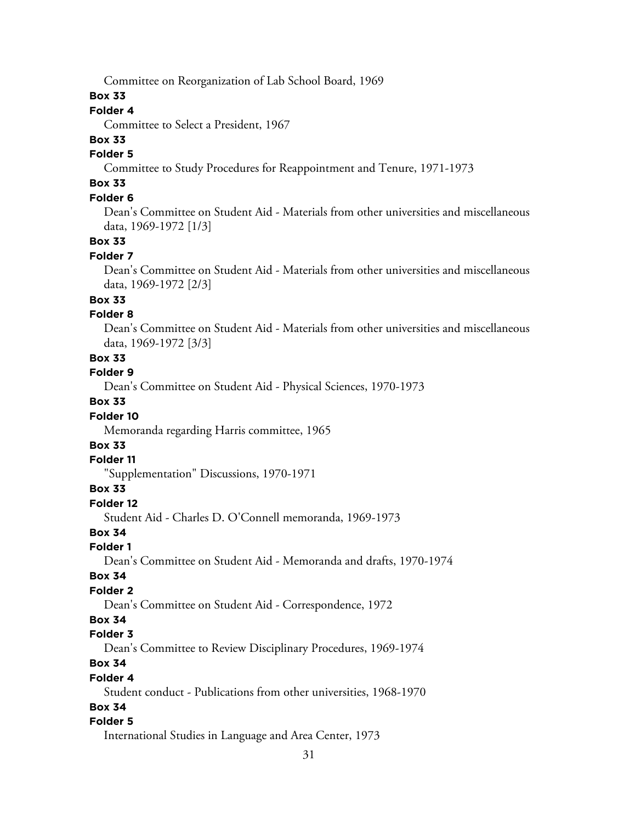Committee on Reorganization of Lab School Board, 1969

#### **Box 33**

# **Folder 4**

Committee to Select a President, 1967

# **Box 33**

# **Folder 5**

Committee to Study Procedures for Reappointment and Tenure, 1971-1973

# **Box 33**

# **Folder 6**

Dean's Committee on Student Aid - Materials from other universities and miscellaneous data, 1969-1972 [1/3]

### **Box 33**

#### **Folder 7**

Dean's Committee on Student Aid - Materials from other universities and miscellaneous data, 1969-1972 [2/3]

### **Box 33**

#### **Folder 8**

Dean's Committee on Student Aid - Materials from other universities and miscellaneous data, 1969-1972 [3/3]

### **Box 33**

**Folder 9**

Dean's Committee on Student Aid - Physical Sciences, 1970-1973

### **Box 33**

#### **Folder 10**

Memoranda regarding Harris committee, 1965

# **Box 33**

#### **Folder 11**

"Supplementation" Discussions, 1970-1971

#### **Box 33**

#### **Folder 12**

Student Aid - Charles D. O'Connell memoranda, 1969-1973

#### **Box 34**

#### **Folder 1**

Dean's Committee on Student Aid - Memoranda and drafts, 1970-1974

#### **Box 34**

### **Folder 2**

Dean's Committee on Student Aid - Correspondence, 1972

#### **Box 34**

#### **Folder 3**

Dean's Committee to Review Disciplinary Procedures, 1969-1974

### **Box 34**

#### **Folder 4**

Student conduct - Publications from other universities, 1968-1970

# **Box 34**

### **Folder 5**

International Studies in Language and Area Center, 1973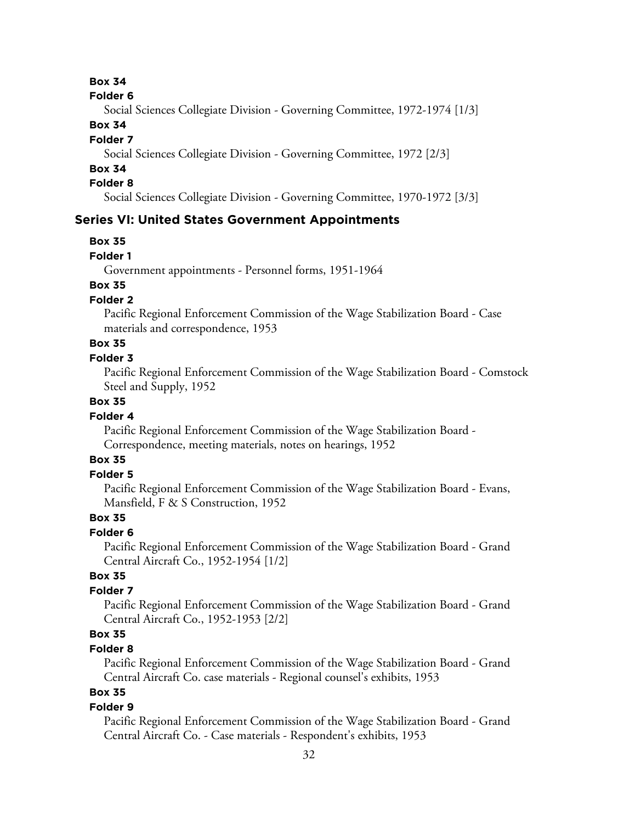#### **Box 34**

#### **Folder 6**

Social Sciences Collegiate Division - Governing Committee, 1972-1974 [1/3]

#### **Box 34**

#### **Folder 7**

Social Sciences Collegiate Division - Governing Committee, 1972 [2/3]

# **Box 34**

### **Folder 8**

Social Sciences Collegiate Division - Governing Committee, 1970-1972 [3/3]

#### **Series VI: United States Government Appointments**

#### **Box 35**

**Folder 1**

Government appointments - Personnel forms, 1951-1964

# **Box 35**

### **Folder 2**

Pacific Regional Enforcement Commission of the Wage Stabilization Board - Case materials and correspondence, 1953

# **Box 35**

### **Folder 3**

Pacific Regional Enforcement Commission of the Wage Stabilization Board - Comstock Steel and Supply, 1952

# **Box 35**

#### **Folder 4**

Pacific Regional Enforcement Commission of the Wage Stabilization Board - Correspondence, meeting materials, notes on hearings, 1952

#### **Box 35**

#### **Folder 5**

Pacific Regional Enforcement Commission of the Wage Stabilization Board - Evans, Mansfield, F & S Construction, 1952

### **Box 35**

#### **Folder 6**

Pacific Regional Enforcement Commission of the Wage Stabilization Board - Grand Central Aircraft Co., 1952-1954 [1/2]

### **Box 35**

#### **Folder 7**

Pacific Regional Enforcement Commission of the Wage Stabilization Board - Grand Central Aircraft Co., 1952-1953 [2/2]

# **Box 35**

### **Folder 8**

Pacific Regional Enforcement Commission of the Wage Stabilization Board - Grand Central Aircraft Co. case materials - Regional counsel's exhibits, 1953

# **Box 35**

#### **Folder 9**

Pacific Regional Enforcement Commission of the Wage Stabilization Board - Grand Central Aircraft Co. - Case materials - Respondent's exhibits, 1953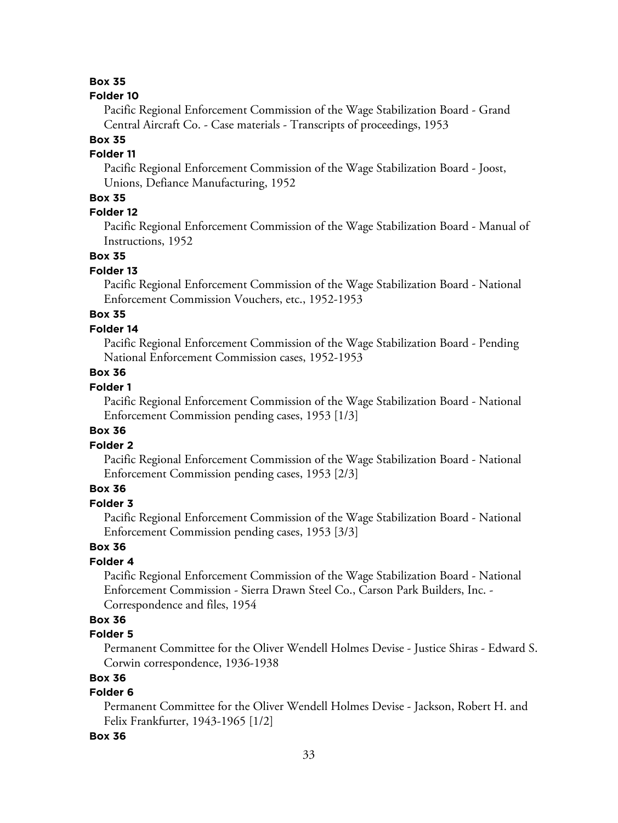#### **Box 35**

#### **Folder 10**

Pacific Regional Enforcement Commission of the Wage Stabilization Board - Grand Central Aircraft Co. - Case materials - Transcripts of proceedings, 1953

#### **Box 35**

#### **Folder 11**

Pacific Regional Enforcement Commission of the Wage Stabilization Board - Joost, Unions, Defiance Manufacturing, 1952

#### **Box 35**

### **Folder 12**

Pacific Regional Enforcement Commission of the Wage Stabilization Board - Manual of Instructions, 1952

#### **Box 35**

#### **Folder 13**

Pacific Regional Enforcement Commission of the Wage Stabilization Board - National Enforcement Commission Vouchers, etc., 1952-1953

# **Box 35**

#### **Folder 14**

Pacific Regional Enforcement Commission of the Wage Stabilization Board - Pending National Enforcement Commission cases, 1952-1953

### **Box 36**

#### **Folder 1**

Pacific Regional Enforcement Commission of the Wage Stabilization Board - National Enforcement Commission pending cases, 1953 [1/3]

### **Box 36**

#### **Folder 2**

Pacific Regional Enforcement Commission of the Wage Stabilization Board - National Enforcement Commission pending cases, 1953 [2/3]

# **Box 36**

# **Folder 3**

Pacific Regional Enforcement Commission of the Wage Stabilization Board - National Enforcement Commission pending cases, 1953 [3/3]

#### **Box 36**

#### **Folder 4**

Pacific Regional Enforcement Commission of the Wage Stabilization Board - National Enforcement Commission - Sierra Drawn Steel Co., Carson Park Builders, Inc. - Correspondence and files, 1954

### **Box 36**

#### **Folder 5**

Permanent Committee for the Oliver Wendell Holmes Devise - Justice Shiras - Edward S. Corwin correspondence, 1936-1938

# **Box 36**

### **Folder 6**

Permanent Committee for the Oliver Wendell Holmes Devise - Jackson, Robert H. and Felix Frankfurter, 1943-1965 [1/2]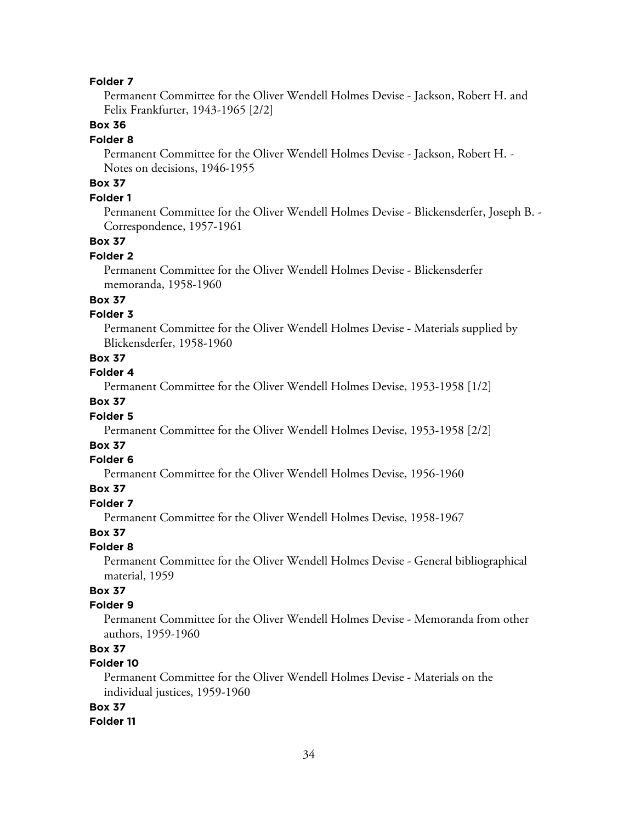Permanent Committee for the Oliver Wendell Holmes Devise - Jackson, Robert H. and Felix Frankfurter, 1943-1965 [2/2]

### **Box 36**

#### **Folder 8**

Permanent Committee for the Oliver Wendell Holmes Devise - Jackson, Robert H. - Notes on decisions, 1946-1955

# **Box 37**

#### **Folder 1**

Permanent Committee for the Oliver Wendell Holmes Devise - Blickensderfer, Joseph B. - Correspondence, 1957-1961

#### **Box 37**

#### **Folder 2**

Permanent Committee for the Oliver Wendell Holmes Devise - Blickensderfer memoranda, 1958-1960

### **Box 37**

#### **Folder 3**

Permanent Committee for the Oliver Wendell Holmes Devise - Materials supplied by Blickensderfer, 1958-1960

#### **Box 37**

#### **Folder 4**

Permanent Committee for the Oliver Wendell Holmes Devise, 1953-1958 [1/2]

### **Box 37**

#### **Folder 5**

Permanent Committee for the Oliver Wendell Holmes Devise, 1953-1958 [2/2]

# **Box 37**

### **Folder 6**

Permanent Committee for the Oliver Wendell Holmes Devise, 1956-1960

### **Box 37**

# **Folder 7**

Permanent Committee for the Oliver Wendell Holmes Devise, 1958-1967

### **Box 37**

#### **Folder 8**

Permanent Committee for the Oliver Wendell Holmes Devise - General bibliographical material, 1959

# **Box 37**

#### **Folder 9**

Permanent Committee for the Oliver Wendell Holmes Devise - Memoranda from other authors, 1959-1960

# **Box 37**

# **Folder 10**

Permanent Committee for the Oliver Wendell Holmes Devise - Materials on the individual justices, 1959-1960

#### **Box 37**

#### **Folder 11**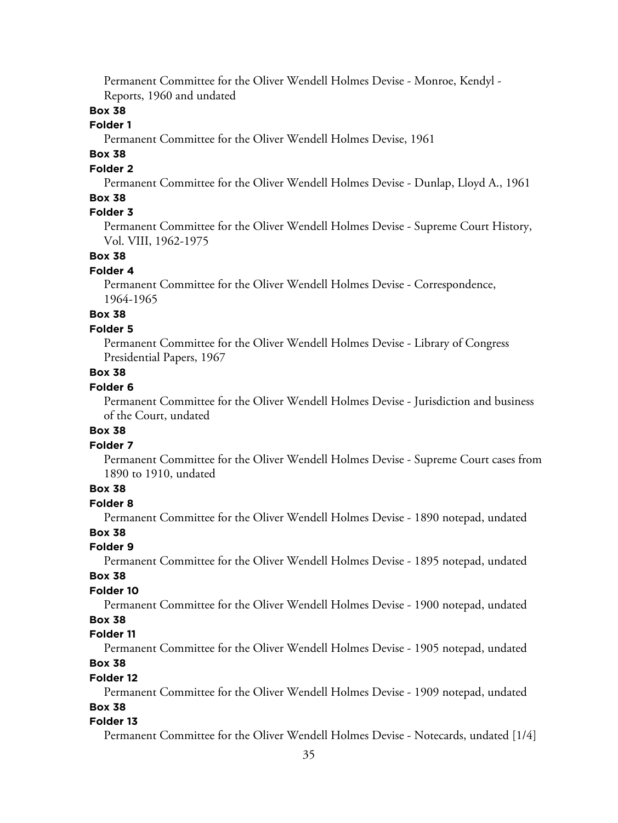Permanent Committee for the Oliver Wendell Holmes Devise - Monroe, Kendyl - Reports, 1960 and undated

### **Box 38**

#### **Folder 1**

Permanent Committee for the Oliver Wendell Holmes Devise, 1961

# **Box 38**

# **Folder 2**

Permanent Committee for the Oliver Wendell Holmes Devise - Dunlap, Lloyd A., 1961

### **Box 38**

# **Folder 3**

Permanent Committee for the Oliver Wendell Holmes Devise - Supreme Court History, Vol. VIII, 1962-1975

#### **Box 38**

### **Folder 4**

Permanent Committee for the Oliver Wendell Holmes Devise - Correspondence, 1964-1965

# **Box 38**

#### **Folder 5**

Permanent Committee for the Oliver Wendell Holmes Devise - Library of Congress Presidential Papers, 1967

### **Box 38**

#### **Folder 6**

Permanent Committee for the Oliver Wendell Holmes Devise - Jurisdiction and business of the Court, undated

# **Box 38**

#### **Folder 7**

Permanent Committee for the Oliver Wendell Holmes Devise - Supreme Court cases from 1890 to 1910, undated

# **Box 38**

# **Folder 8**

Permanent Committee for the Oliver Wendell Holmes Devise - 1890 notepad, undated

### **Box 38**

### **Folder 9**

Permanent Committee for the Oliver Wendell Holmes Devise - 1895 notepad, undated

#### **Box 38**

#### **Folder 10**

Permanent Committee for the Oliver Wendell Holmes Devise - 1900 notepad, undated

#### **Box 38**

#### **Folder 11**

Permanent Committee for the Oliver Wendell Holmes Devise - 1905 notepad, undated

# **Box 38**

# **Folder 12**

Permanent Committee for the Oliver Wendell Holmes Devise - 1909 notepad, undated

# **Box 38**

#### **Folder 13**

Permanent Committee for the Oliver Wendell Holmes Devise - Notecards, undated [1/4]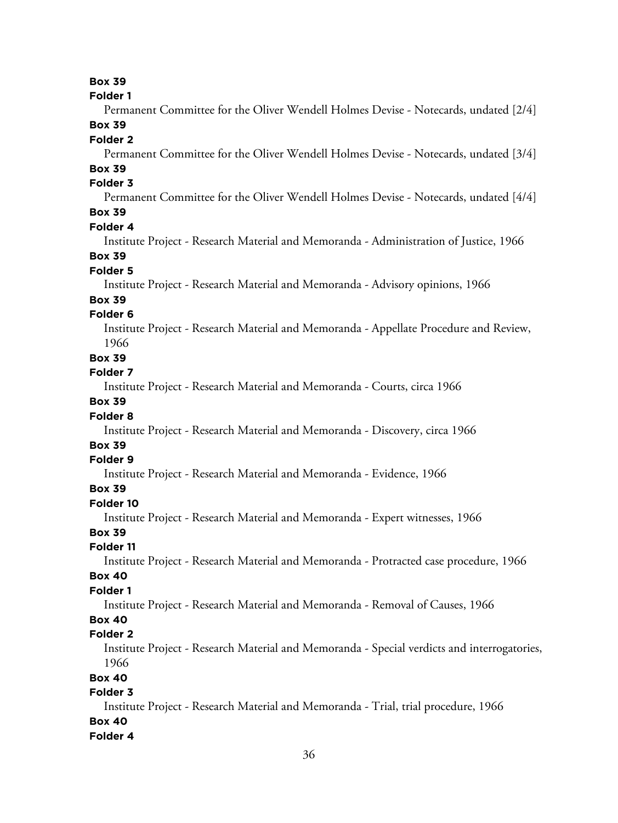#### **Box 39**

| olde |  |
|------|--|
|------|--|

Permanent Committee for the Oliver Wendell Holmes Devise - Notecards, undated [2/4] **Box 39**

#### **Folder 2**

Permanent Committee for the Oliver Wendell Holmes Devise - Notecards, undated [3/4]

# **Box 39**

# **Folder 3**

Permanent Committee for the Oliver Wendell Holmes Devise - Notecards, undated [4/4]

# **Box 39**

#### **Folder 4**

Institute Project - Research Material and Memoranda - Administration of Justice, 1966

#### **Box 39**

#### **Folder 5**

Institute Project - Research Material and Memoranda - Advisory opinions, 1966

#### **Box 39**

#### **Folder 6**

Institute Project - Research Material and Memoranda - Appellate Procedure and Review, 1966

#### **Box 39**

#### **Folder 7**

Institute Project - Research Material and Memoranda - Courts, circa 1966

### **Box 39**

#### **Folder 8**

Institute Project - Research Material and Memoranda - Discovery, circa 1966

# **Box 39**

#### **Folder 9**

Institute Project - Research Material and Memoranda - Evidence, 1966

#### **Box 39**

#### **Folder 10**

Institute Project - Research Material and Memoranda - Expert witnesses, 1966

### **Box 39**

#### **Folder 11**

Institute Project - Research Material and Memoranda - Protracted case procedure, 1966

#### **Box 40**

#### **Folder 1**

Institute Project - Research Material and Memoranda - Removal of Causes, 1966

### **Box 40**

#### **Folder 2**

Institute Project - Research Material and Memoranda - Special verdicts and interrogatories, 1966

#### **Box 40**

#### **Folder 3**

Institute Project - Research Material and Memoranda - Trial, trial procedure, 1966 **Box 40 Folder 4**

#### 36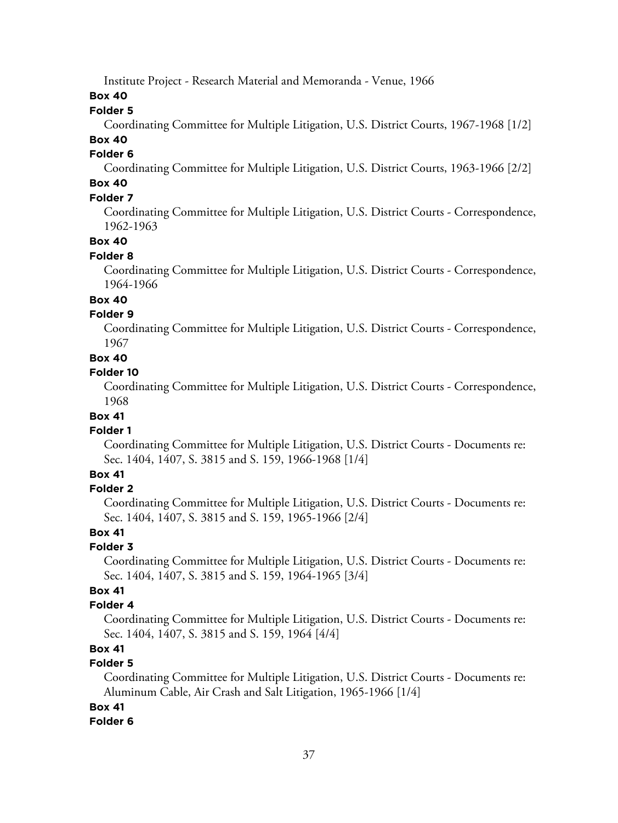Institute Project - Research Material and Memoranda - Venue, 1966

**Box 40**

#### **Folder 5**

Coordinating Committee for Multiple Litigation, U.S. District Courts, 1967-1968 [1/2]

# **Box 40**

# **Folder 6**

Coordinating Committee for Multiple Litigation, U.S. District Courts, 1963-1966 [2/2]

# **Box 40**

# **Folder 7**

Coordinating Committee for Multiple Litigation, U.S. District Courts - Correspondence, 1962-1963

### **Box 40**

#### **Folder 8**

Coordinating Committee for Multiple Litigation, U.S. District Courts - Correspondence, 1964-1966

#### **Box 40**

### **Folder 9**

Coordinating Committee for Multiple Litigation, U.S. District Courts - Correspondence, 1967

### **Box 40**

#### **Folder 10**

Coordinating Committee for Multiple Litigation, U.S. District Courts - Correspondence, 1968

#### **Box 41**

#### **Folder 1**

Coordinating Committee for Multiple Litigation, U.S. District Courts - Documents re: Sec. 1404, 1407, S. 3815 and S. 159, 1966-1968 [1/4]

### **Box 41**

### **Folder 2**

Coordinating Committee for Multiple Litigation, U.S. District Courts - Documents re: Sec. 1404, 1407, S. 3815 and S. 159, 1965-1966 [2/4]

#### **Box 41**

### **Folder 3**

Coordinating Committee for Multiple Litigation, U.S. District Courts - Documents re: Sec. 1404, 1407, S. 3815 and S. 159, 1964-1965 [3/4]

### **Box 41**

### **Folder 4**

Coordinating Committee for Multiple Litigation, U.S. District Courts - Documents re: Sec. 1404, 1407, S. 3815 and S. 159, 1964 [4/4]

# **Box 41**

# **Folder 5**

Coordinating Committee for Multiple Litigation, U.S. District Courts - Documents re: Aluminum Cable, Air Crash and Salt Litigation, 1965-1966 [1/4]

### **Box 41**

### **Folder 6**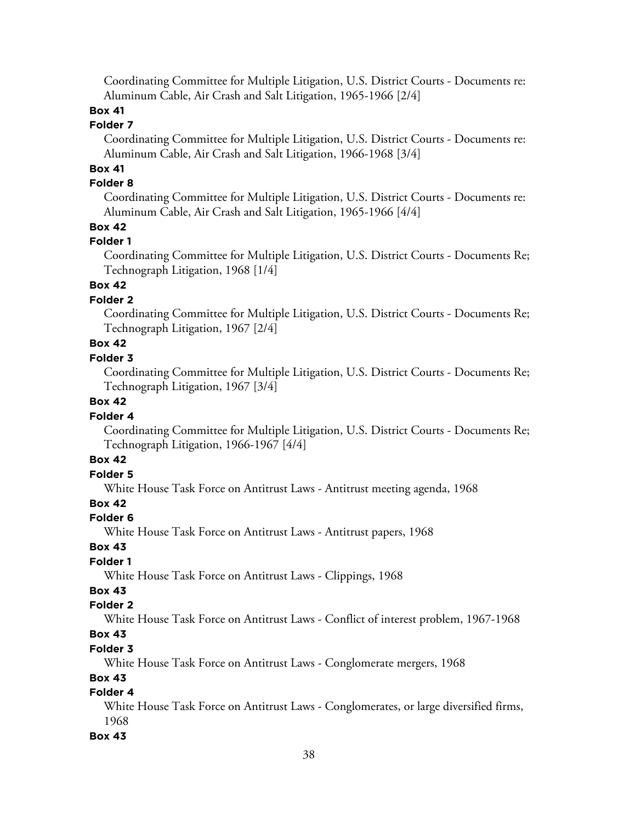Coordinating Committee for Multiple Litigation, U.S. District Courts - Documents re: Aluminum Cable, Air Crash and Salt Litigation, 1965-1966 [2/4]

# **Box 41**

#### **Folder 7**

Coordinating Committee for Multiple Litigation, U.S. District Courts - Documents re: Aluminum Cable, Air Crash and Salt Litigation, 1966-1968 [3/4]

# **Box 41**

# **Folder 8**

Coordinating Committee for Multiple Litigation, U.S. District Courts - Documents re: Aluminum Cable, Air Crash and Salt Litigation, 1965-1966 [4/4]

### **Box 42**

#### **Folder 1**

Coordinating Committee for Multiple Litigation, U.S. District Courts - Documents Re; Technograph Litigation, 1968 [1/4]

# **Box 42**

### **Folder 2**

Coordinating Committee for Multiple Litigation, U.S. District Courts - Documents Re; Technograph Litigation, 1967 [2/4]

# **Box 42**

#### **Folder 3**

Coordinating Committee for Multiple Litigation, U.S. District Courts - Documents Re; Technograph Litigation, 1967 [3/4]

### **Box 42**

#### **Folder 4**

Coordinating Committee for Multiple Litigation, U.S. District Courts - Documents Re; Technograph Litigation, 1966-1967 [4/4]

# **Box 42**

# **Folder 5**

White House Task Force on Antitrust Laws - Antitrust meeting agenda, 1968

# **Box 42**

#### **Folder 6**

White House Task Force on Antitrust Laws - Antitrust papers, 1968

### **Box 43**

# **Folder 1**

White House Task Force on Antitrust Laws - Clippings, 1968

# **Box 43**

### **Folder 2**

White House Task Force on Antitrust Laws - Conflict of interest problem, 1967-1968

# **Box 43**

### **Folder 3**

White House Task Force on Antitrust Laws - Conglomerate mergers, 1968

### **Box 43**

# **Folder 4**

White House Task Force on Antitrust Laws - Conglomerates, or large diversified firms, 1968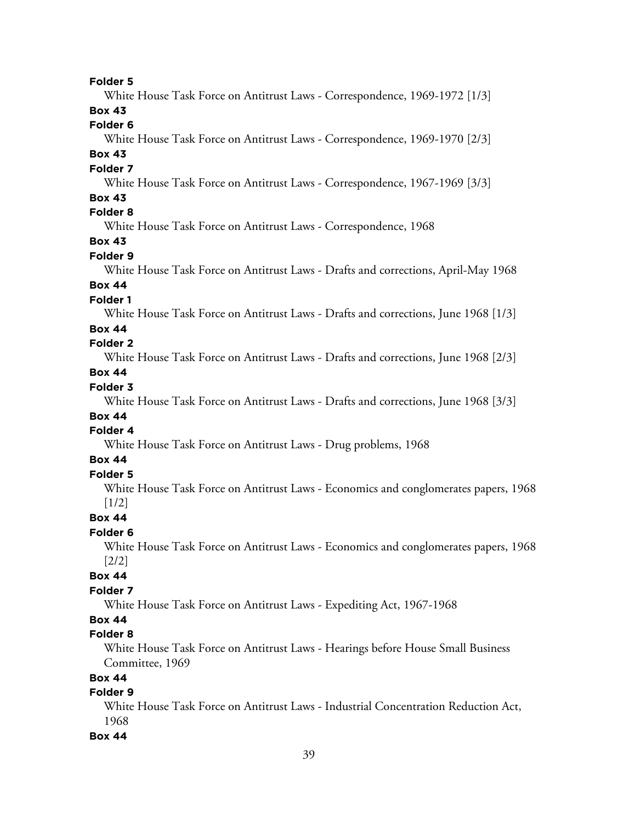White House Task Force on Antitrust Laws - Correspondence, 1969-1972 [1/3]

# **Box 43**

**Folder 6**

White House Task Force on Antitrust Laws - Correspondence, 1969-1970 [2/3]

# **Box 43**

#### **Folder 7**

White House Task Force on Antitrust Laws - Correspondence, 1967-1969 [3/3]

# **Box 43**

# **Folder 8**

White House Task Force on Antitrust Laws - Correspondence, 1968

# **Box 43**

# **Folder 9**

White House Task Force on Antitrust Laws - Drafts and corrections, April-May 1968

# **Box 44**

**Folder 1**

White House Task Force on Antitrust Laws - Drafts and corrections, June 1968 [1/3]

### **Box 44**

# **Folder 2**

White House Task Force on Antitrust Laws - Drafts and corrections, June 1968 [2/3]

# **Box 44**

# **Folder 3**

White House Task Force on Antitrust Laws - Drafts and corrections, June 1968 [3/3]

# **Box 44**

# **Folder 4**

White House Task Force on Antitrust Laws - Drug problems, 1968

# **Box 44**

# **Folder 5**

White House Task Force on Antitrust Laws - Economics and conglomerates papers, 1968 [1/2]

#### **Box 44**

#### **Folder 6**

White House Task Force on Antitrust Laws - Economics and conglomerates papers, 1968 [2/2]

# **Box 44**

# **Folder 7**

White House Task Force on Antitrust Laws - Expediting Act, 1967-1968

### **Box 44**

### **Folder 8**

White House Task Force on Antitrust Laws - Hearings before House Small Business Committee, 1969

# **Box 44**

# **Folder 9**

White House Task Force on Antitrust Laws - Industrial Concentration Reduction Act, 1968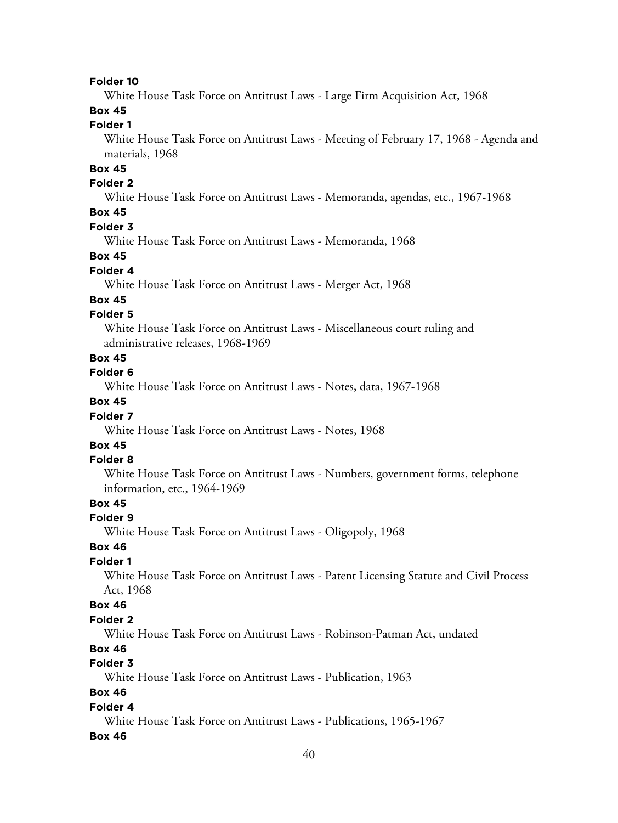White House Task Force on Antitrust Laws - Large Firm Acquisition Act, 1968

# **Box 45**

### **Folder 1**

White House Task Force on Antitrust Laws - Meeting of February 17, 1968 - Agenda and materials, 1968

# **Box 45**

#### **Folder 2**

White House Task Force on Antitrust Laws - Memoranda, agendas, etc., 1967-1968

# **Box 45**

#### **Folder 3**

White House Task Force on Antitrust Laws - Memoranda, 1968

#### **Box 45**

# **Folder 4**

White House Task Force on Antitrust Laws - Merger Act, 1968

#### **Box 45**

### **Folder 5**

White House Task Force on Antitrust Laws - Miscellaneous court ruling and administrative releases, 1968-1969

#### **Box 45**

# **Folder 6**

White House Task Force on Antitrust Laws - Notes, data, 1967-1968

### **Box 45**

#### **Folder 7**

White House Task Force on Antitrust Laws - Notes, 1968

# **Box 45**

#### **Folder 8**

White House Task Force on Antitrust Laws - Numbers, government forms, telephone information, etc., 1964-1969

### **Box 45**

#### **Folder 9**

White House Task Force on Antitrust Laws - Oligopoly, 1968

### **Box 46**

# **Folder 1**

White House Task Force on Antitrust Laws - Patent Licensing Statute and Civil Process Act, 1968

#### **Box 46**

#### **Folder 2**

White House Task Force on Antitrust Laws - Robinson-Patman Act, undated

# **Box 46**

# **Folder 3**

White House Task Force on Antitrust Laws - Publication, 1963

# **Box 46**

#### **Folder 4**

White House Task Force on Antitrust Laws - Publications, 1965-1967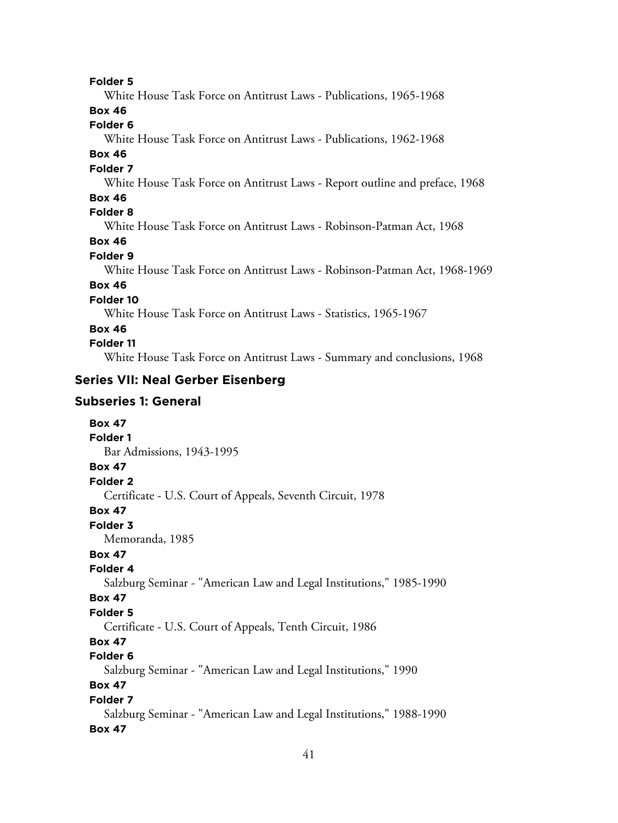White House Task Force on Antitrust Laws - Publications, 1965-1968

# **Box 46**

**Folder 6**

White House Task Force on Antitrust Laws - Publications, 1962-1968

# **Box 46**

### **Folder 7**

White House Task Force on Antitrust Laws - Report outline and preface, 1968

### **Box 46**

# **Folder 8**

White House Task Force on Antitrust Laws - Robinson-Patman Act, 1968

# **Box 46**

### **Folder 9**

White House Task Force on Antitrust Laws - Robinson-Patman Act, 1968-1969

# **Box 46**

# **Folder 10**

White House Task Force on Antitrust Laws - Statistics, 1965-1967

# **Box 46**

### **Folder 11**

White House Task Force on Antitrust Laws - Summary and conclusions, 1968

# **Series VII: Neal Gerber Eisenberg**

# **Subseries 1: General**

| <b>Box 47</b>                                                       |
|---------------------------------------------------------------------|
| <b>Folder 1</b>                                                     |
| Bar Admissions, 1943-1995                                           |
| <b>Box 47</b>                                                       |
| Folder <sub>2</sub>                                                 |
| Certificate - U.S. Court of Appeals, Seventh Circuit, 1978          |
| <b>Box 47</b>                                                       |
| Folder 3                                                            |
| Memoranda, 1985                                                     |
| <b>Box 47</b>                                                       |
| Folder 4                                                            |
| Salzburg Seminar - "American Law and Legal Institutions," 1985-1990 |
| <b>Box 47</b>                                                       |
| <b>Folder 5</b>                                                     |
| Certificate - U.S. Court of Appeals, Tenth Circuit, 1986            |
| <b>Box 47</b>                                                       |
| Folder <sub>6</sub>                                                 |
| Salzburg Seminar - "American Law and Legal Institutions," 1990      |
| <b>Box 47</b>                                                       |
| Folder 7                                                            |
| Salzburg Seminar - "American Law and Legal Institutions," 1988-1990 |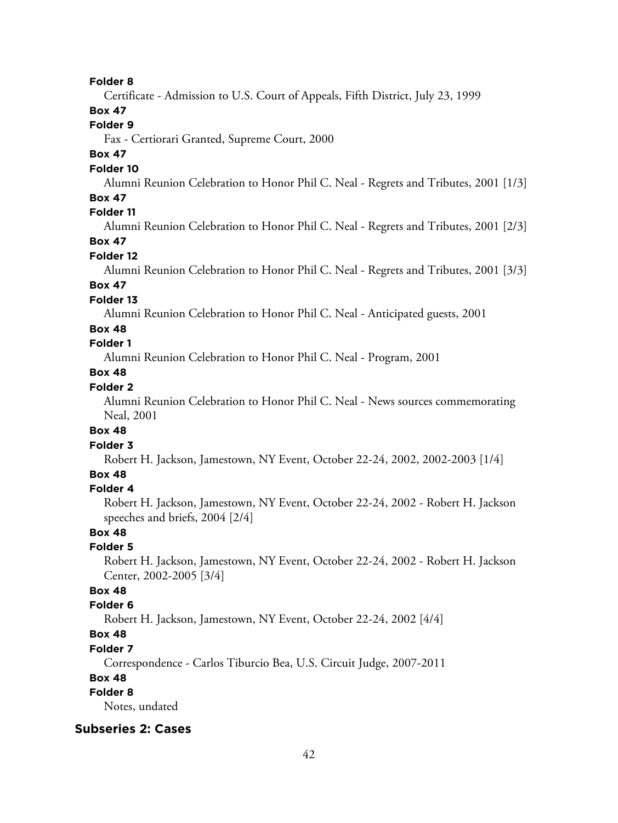Certificate - Admission to U.S. Court of Appeals, Fifth District, July 23, 1999

# **Box 47**

# **Folder 9**

Fax - Certiorari Granted, Supreme Court, 2000

# **Box 47**

#### **Folder 10**

Alumni Reunion Celebration to Honor Phil C. Neal - Regrets and Tributes, 2001 [1/3]

### **Box 47**

# **Folder 11**

Alumni Reunion Celebration to Honor Phil C. Neal - Regrets and Tributes, 2001 [2/3]

# **Box 47**

#### **Folder 12**

Alumni Reunion Celebration to Honor Phil C. Neal - Regrets and Tributes, 2001 [3/3]

# **Box 47**

#### **Folder 13**

Alumni Reunion Celebration to Honor Phil C. Neal - Anticipated guests, 2001

#### **Box 48**

### **Folder 1**

Alumni Reunion Celebration to Honor Phil C. Neal - Program, 2001

# **Box 48**

# **Folder 2**

Alumni Reunion Celebration to Honor Phil C. Neal - News sources commemorating Neal, 2001

#### **Box 48**

#### **Folder 3**

Robert H. Jackson, Jamestown, NY Event, October 22-24, 2002, 2002-2003 [1/4]

#### **Box 48**

#### **Folder 4**

Robert H. Jackson, Jamestown, NY Event, October 22-24, 2002 - Robert H. Jackson speeches and briefs, 2004 [2/4]

#### **Box 48**

#### **Folder 5**

Robert H. Jackson, Jamestown, NY Event, October 22-24, 2002 - Robert H. Jackson Center, 2002-2005 [3/4]

# **Box 48**

#### **Folder 6**

Robert H. Jackson, Jamestown, NY Event, October 22-24, 2002 [4/4]

# **Box 48**

#### **Folder 7**

Correspondence - Carlos Tiburcio Bea, U.S. Circuit Judge, 2007-2011

#### **Box 48**

# **Folder 8**

Notes, undated

# **Subseries 2: Cases**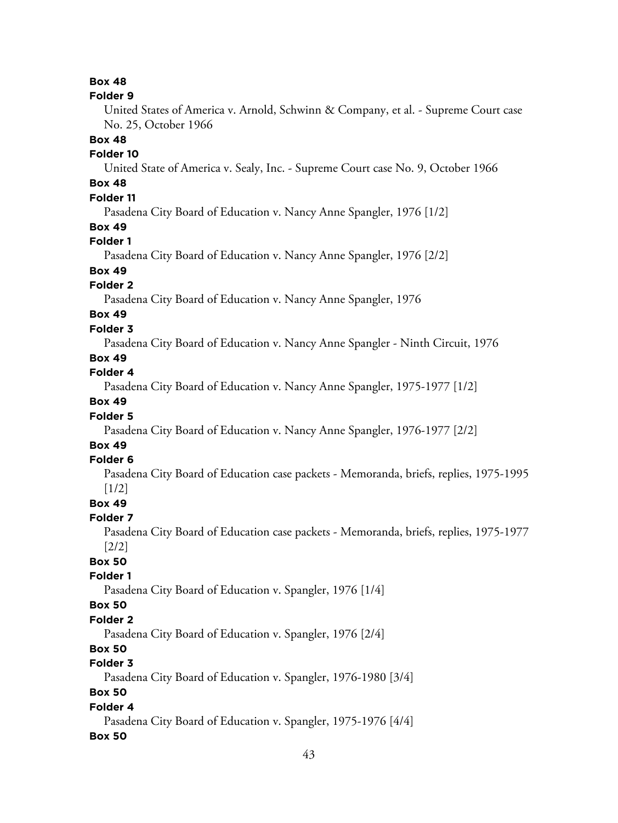### **Box 48**

#### **Folder 9**

United States of America v. Arnold, Schwinn & Company, et al. - Supreme Court case No. 25, October 1966

#### **Box 48**

### **Folder 10**

United State of America v. Sealy, Inc. - Supreme Court case No. 9, October 1966

# **Box 48**

# **Folder 11**

Pasadena City Board of Education v. Nancy Anne Spangler, 1976 [1/2]

### **Box 49**

#### **Folder 1**

Pasadena City Board of Education v. Nancy Anne Spangler, 1976 [2/2]

# **Box 49**

### **Folder 2**

Pasadena City Board of Education v. Nancy Anne Spangler, 1976

# **Box 49**

### **Folder 3**

Pasadena City Board of Education v. Nancy Anne Spangler - Ninth Circuit, 1976

#### **Box 49**

# **Folder 4**

Pasadena City Board of Education v. Nancy Anne Spangler, 1975-1977 [1/2]

# **Box 49**

#### **Folder 5**

Pasadena City Board of Education v. Nancy Anne Spangler, 1976-1977 [2/2]

# **Box 49**

# **Folder 6**

Pasadena City Board of Education case packets - Memoranda, briefs, replies, 1975-1995 [1/2]

# **Box 49**

### **Folder 7**

Pasadena City Board of Education case packets - Memoranda, briefs, replies, 1975-1977 [2/2]

# **Box 50**

#### **Folder 1**

Pasadena City Board of Education v. Spangler, 1976 [1/4]

# **Box 50**

# **Folder 2**

Pasadena City Board of Education v. Spangler, 1976 [2/4]

# **Box 50**

# **Folder 3**

Pasadena City Board of Education v. Spangler, 1976-1980 [3/4]

# **Box 50**

# **Folder 4**

Pasadena City Board of Education v. Spangler, 1975-1976 [4/4]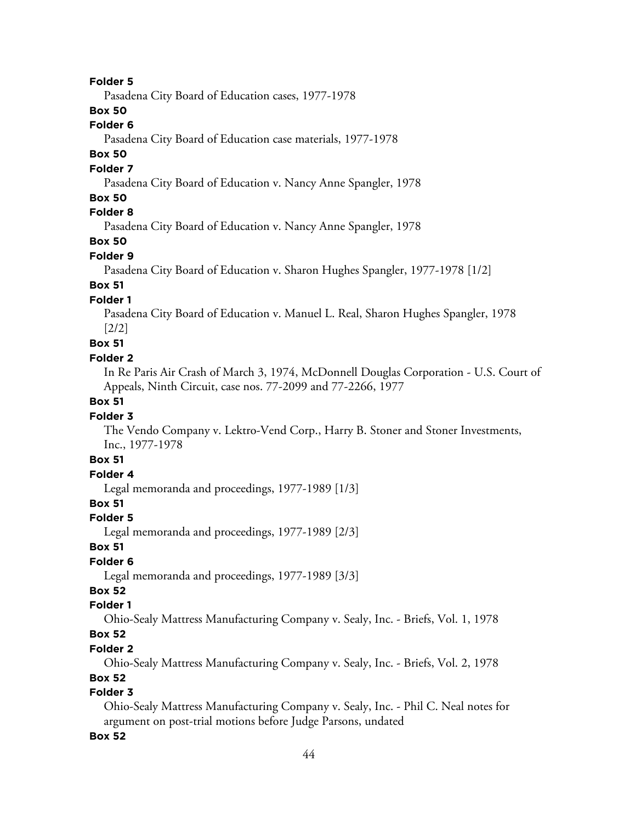Pasadena City Board of Education cases, 1977-1978

### **Box 50**

### **Folder 6**

Pasadena City Board of Education case materials, 1977-1978

# **Box 50**

#### **Folder 7**

Pasadena City Board of Education v. Nancy Anne Spangler, 1978

### **Box 50**

# **Folder 8**

Pasadena City Board of Education v. Nancy Anne Spangler, 1978

# **Box 50**

#### **Folder 9**

Pasadena City Board of Education v. Sharon Hughes Spangler, 1977-1978 [1/2]

# **Box 51**

### **Folder 1**

Pasadena City Board of Education v. Manuel L. Real, Sharon Hughes Spangler, 1978 [2/2]

### **Box 51**

#### **Folder 2**

In Re Paris Air Crash of March 3, 1974, McDonnell Douglas Corporation - U.S. Court of Appeals, Ninth Circuit, case nos. 77-2099 and 77-2266, 1977

# **Box 51**

#### **Folder 3**

The Vendo Company v. Lektro-Vend Corp., Harry B. Stoner and Stoner Investments, Inc., 1977-1978

### **Box 51**

#### **Folder 4**

Legal memoranda and proceedings, 1977-1989 [1/3]

### **Box 51**

#### **Folder 5**

Legal memoranda and proceedings, 1977-1989 [2/3]

#### **Box 51**

#### **Folder 6**

Legal memoranda and proceedings, 1977-1989 [3/3]

# **Box 52**

# **Folder 1**

Ohio-Sealy Mattress Manufacturing Company v. Sealy, Inc. - Briefs, Vol. 1, 1978

# **Box 52**

#### **Folder 2**

Ohio-Sealy Mattress Manufacturing Company v. Sealy, Inc. - Briefs, Vol. 2, 1978

#### **Box 52**

### **Folder 3**

Ohio-Sealy Mattress Manufacturing Company v. Sealy, Inc. - Phil C. Neal notes for argument on post-trial motions before Judge Parsons, undated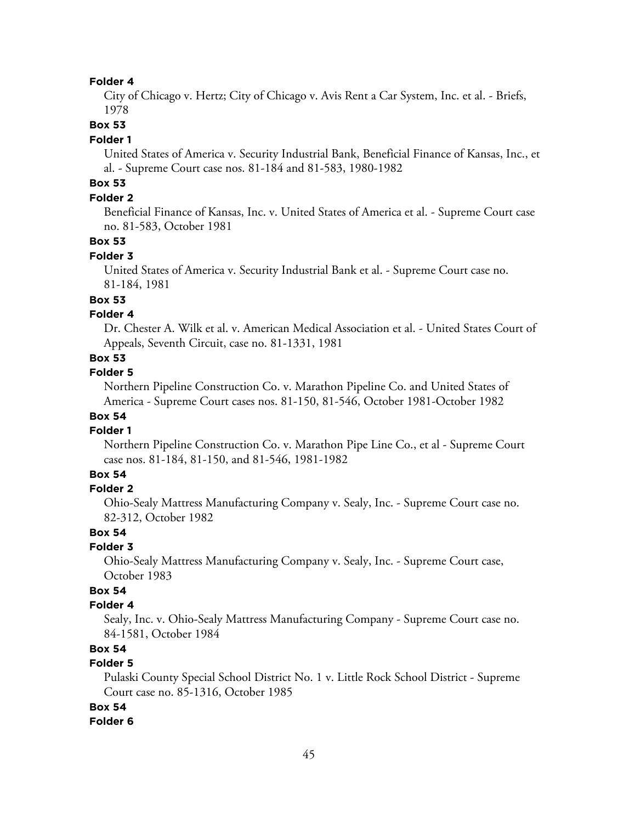City of Chicago v. Hertz; City of Chicago v. Avis Rent a Car System, Inc. et al. - Briefs, 1978

#### **Box 53**

#### **Folder 1**

United States of America v. Security Industrial Bank, Beneficial Finance of Kansas, Inc., et al. - Supreme Court case nos. 81-184 and 81-583, 1980-1982

# **Box 53**

### **Folder 2**

Beneficial Finance of Kansas, Inc. v. United States of America et al. - Supreme Court case no. 81-583, October 1981

#### **Box 53**

#### **Folder 3**

United States of America v. Security Industrial Bank et al. - Supreme Court case no. 81-184, 1981

### **Box 53**

#### **Folder 4**

Dr. Chester A. Wilk et al. v. American Medical Association et al. - United States Court of Appeals, Seventh Circuit, case no. 81-1331, 1981

#### **Box 53**

#### **Folder 5**

Northern Pipeline Construction Co. v. Marathon Pipeline Co. and United States of America - Supreme Court cases nos. 81-150, 81-546, October 1981-October 1982

# **Box 54**

#### **Folder 1**

Northern Pipeline Construction Co. v. Marathon Pipe Line Co., et al - Supreme Court case nos. 81-184, 81-150, and 81-546, 1981-1982

### **Box 54**

#### **Folder 2**

Ohio-Sealy Mattress Manufacturing Company v. Sealy, Inc. - Supreme Court case no. 82-312, October 1982

#### **Box 54**

#### **Folder 3**

Ohio-Sealy Mattress Manufacturing Company v. Sealy, Inc. - Supreme Court case, October 1983

# **Box 54**

#### **Folder 4**

Sealy, Inc. v. Ohio-Sealy Mattress Manufacturing Company - Supreme Court case no. 84-1581, October 1984

# **Box 54**

# **Folder 5**

Pulaski County Special School District No. 1 v. Little Rock School District - Supreme Court case no. 85-1316, October 1985

#### **Box 54**

#### **Folder 6**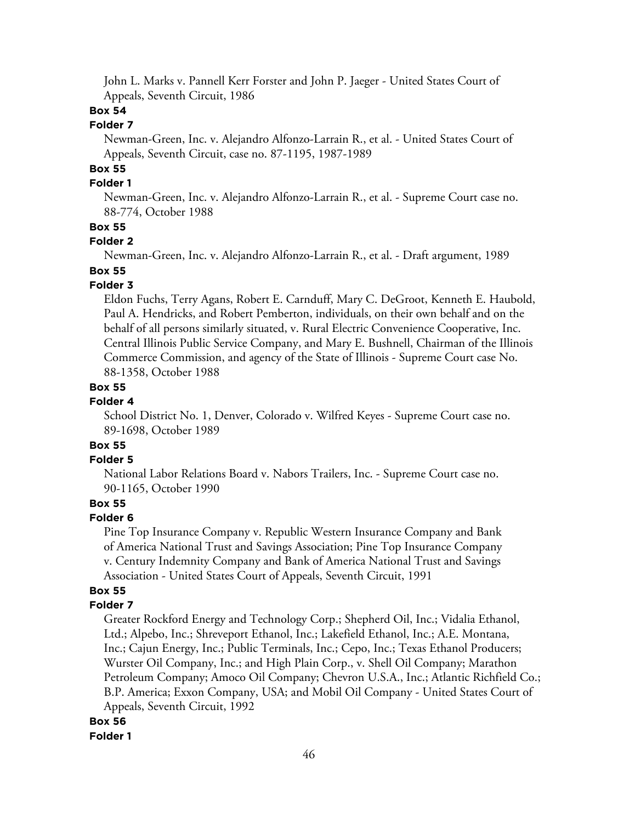John L. Marks v. Pannell Kerr Forster and John P. Jaeger - United States Court of Appeals, Seventh Circuit, 1986

### **Box 54**

# **Folder 7**

Newman-Green, Inc. v. Alejandro Alfonzo-Larrain R., et al. - United States Court of Appeals, Seventh Circuit, case no. 87-1195, 1987-1989

# **Box 55**

### **Folder 1**

Newman-Green, Inc. v. Alejandro Alfonzo-Larrain R., et al. - Supreme Court case no. 88-774, October 1988

#### **Box 55**

#### **Folder 2**

Newman-Green, Inc. v. Alejandro Alfonzo-Larrain R., et al. - Draft argument, 1989

# **Box 55**

### **Folder 3**

Eldon Fuchs, Terry Agans, Robert E. Carnduff, Mary C. DeGroot, Kenneth E. Haubold, Paul A. Hendricks, and Robert Pemberton, individuals, on their own behalf and on the behalf of all persons similarly situated, v. Rural Electric Convenience Cooperative, Inc. Central Illinois Public Service Company, and Mary E. Bushnell, Chairman of the Illinois Commerce Commission, and agency of the State of Illinois - Supreme Court case No. 88-1358, October 1988

#### **Box 55**

#### **Folder 4**

School District No. 1, Denver, Colorado v. Wilfred Keyes - Supreme Court case no. 89-1698, October 1989

# **Box 55**

# **Folder 5**

National Labor Relations Board v. Nabors Trailers, Inc. - Supreme Court case no. 90-1165, October 1990

### **Box 55**

#### **Folder 6**

Pine Top Insurance Company v. Republic Western Insurance Company and Bank of America National Trust and Savings Association; Pine Top Insurance Company v. Century Indemnity Company and Bank of America National Trust and Savings Association - United States Court of Appeals, Seventh Circuit, 1991

#### **Box 55**

#### **Folder 7**

Greater Rockford Energy and Technology Corp.; Shepherd Oil, Inc.; Vidalia Ethanol, Ltd.; Alpebo, Inc.; Shreveport Ethanol, Inc.; Lakefield Ethanol, Inc.; A.E. Montana, Inc.; Cajun Energy, Inc.; Public Terminals, Inc.; Cepo, Inc.; Texas Ethanol Producers; Wurster Oil Company, Inc.; and High Plain Corp., v. Shell Oil Company; Marathon Petroleum Company; Amoco Oil Company; Chevron U.S.A., Inc.; Atlantic Richfield Co.; B.P. America; Exxon Company, USA; and Mobil Oil Company - United States Court of Appeals, Seventh Circuit, 1992

#### **Box 56 Folder 1**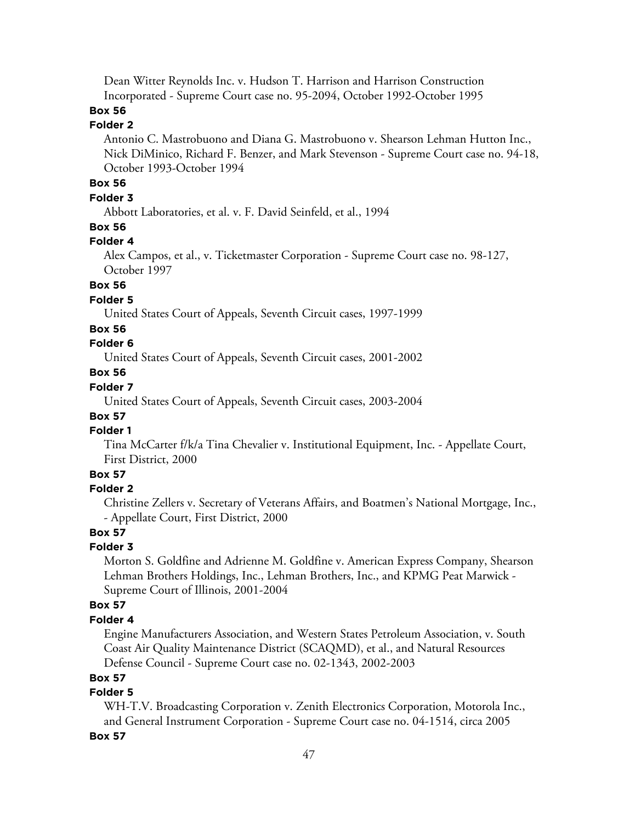Dean Witter Reynolds Inc. v. Hudson T. Harrison and Harrison Construction Incorporated - Supreme Court case no. 95-2094, October 1992-October 1995

# **Box 56**

# **Folder 2**

Antonio C. Mastrobuono and Diana G. Mastrobuono v. Shearson Lehman Hutton Inc., Nick DiMinico, Richard F. Benzer, and Mark Stevenson - Supreme Court case no. 94-18, October 1993-October 1994

# **Box 56**

### **Folder 3**

Abbott Laboratories, et al. v. F. David Seinfeld, et al., 1994

#### **Box 56**

#### **Folder 4**

Alex Campos, et al., v. Ticketmaster Corporation - Supreme Court case no. 98-127, October 1997

#### **Box 56**

### **Folder 5**

United States Court of Appeals, Seventh Circuit cases, 1997-1999

#### **Box 56**

# **Folder 6**

United States Court of Appeals, Seventh Circuit cases, 2001-2002

# **Box 56**

# **Folder 7**

United States Court of Appeals, Seventh Circuit cases, 2003-2004

# **Box 57**

# **Folder 1**

Tina McCarter f/k/a Tina Chevalier v. Institutional Equipment, Inc. - Appellate Court, First District, 2000

### **Box 57**

#### **Folder 2**

Christine Zellers v. Secretary of Veterans Affairs, and Boatmen's National Mortgage, Inc., - Appellate Court, First District, 2000

#### **Box 57**

#### **Folder 3**

Morton S. Goldfine and Adrienne M. Goldfine v. American Express Company, Shearson Lehman Brothers Holdings, Inc., Lehman Brothers, Inc., and KPMG Peat Marwick - Supreme Court of Illinois, 2001-2004

#### **Box 57**

#### **Folder 4**

Engine Manufacturers Association, and Western States Petroleum Association, v. South Coast Air Quality Maintenance District (SCAQMD), et al., and Natural Resources Defense Council - Supreme Court case no. 02-1343, 2002-2003

#### **Box 57**

# **Folder 5**

WH-T.V. Broadcasting Corporation v. Zenith Electronics Corporation, Motorola Inc., and General Instrument Corporation - Supreme Court case no. 04-1514, circa 2005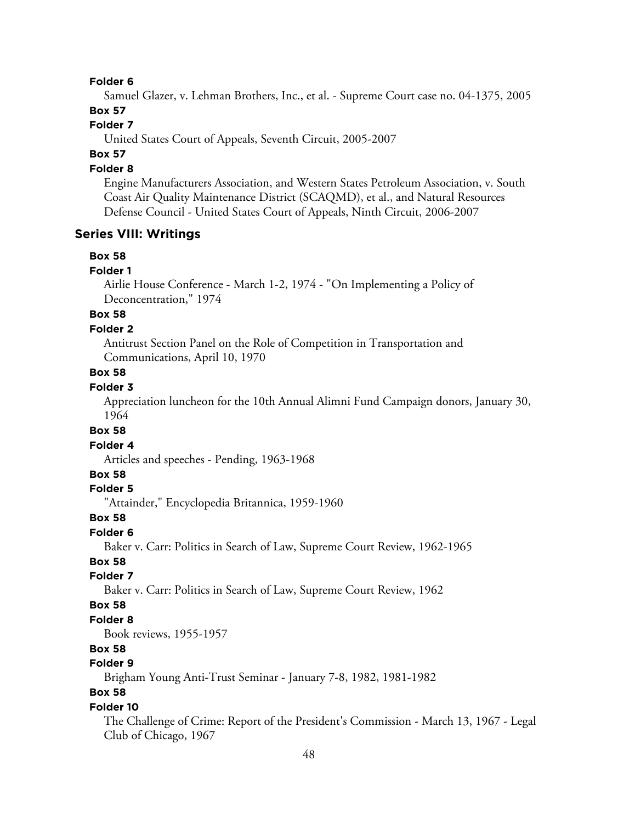Samuel Glazer, v. Lehman Brothers, Inc., et al. - Supreme Court case no. 04-1375, 2005

### **Box 57**

# **Folder 7**

United States Court of Appeals, Seventh Circuit, 2005-2007

# **Box 57**

#### **Folder 8**

Engine Manufacturers Association, and Western States Petroleum Association, v. South Coast Air Quality Maintenance District (SCAQMD), et al., and Natural Resources Defense Council - United States Court of Appeals, Ninth Circuit, 2006-2007

#### **Series VIII: Writings**

#### **Box 58**

#### **Folder 1**

Airlie House Conference - March 1-2, 1974 - "On Implementing a Policy of Deconcentration," 1974

# **Box 58**

#### **Folder 2**

Antitrust Section Panel on the Role of Competition in Transportation and Communications, April 10, 1970

#### **Box 58**

#### **Folder 3**

Appreciation luncheon for the 10th Annual Alimni Fund Campaign donors, January 30, 1964

#### **Box 58**

#### **Folder 4**

Articles and speeches - Pending, 1963-1968

#### **Box 58**

#### **Folder 5**

"Attainder," Encyclopedia Britannica, 1959-1960

#### **Box 58**

#### **Folder 6**

Baker v. Carr: Politics in Search of Law, Supreme Court Review, 1962-1965

#### **Box 58**

#### **Folder 7**

Baker v. Carr: Politics in Search of Law, Supreme Court Review, 1962

#### **Box 58**

#### **Folder 8**

Book reviews, 1955-1957

#### **Box 58**

# **Folder 9**

Brigham Young Anti-Trust Seminar - January 7-8, 1982, 1981-1982

# **Box 58**

#### **Folder 10**

The Challenge of Crime: Report of the President's Commission - March 13, 1967 - Legal Club of Chicago, 1967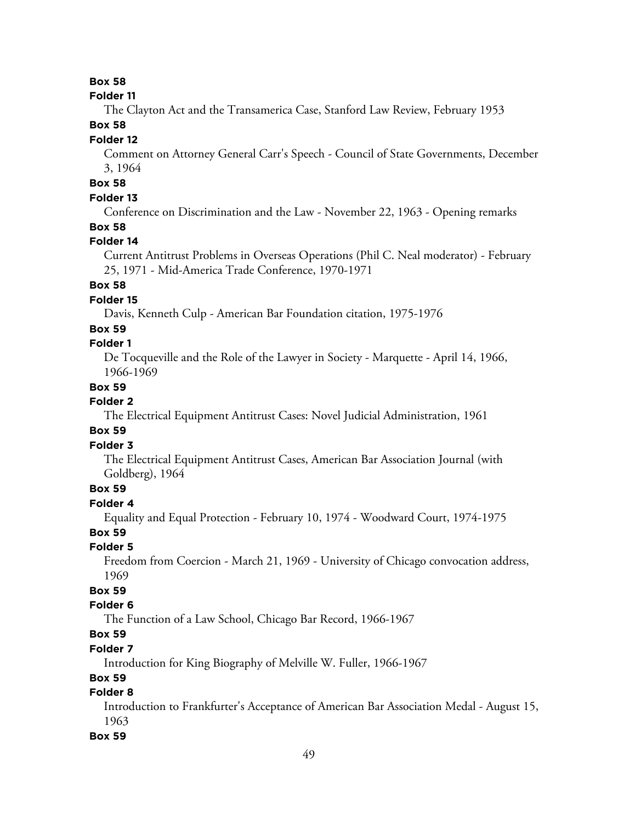# **Box 58**

#### **Folder 11**

The Clayton Act and the Transamerica Case, Stanford Law Review, February 1953

# **Box 58**

#### **Folder 12**

Comment on Attorney General Carr's Speech - Council of State Governments, December 3, 1964

# **Box 58**

### **Folder 13**

Conference on Discrimination and the Law - November 22, 1963 - Opening remarks

### **Box 58**

#### **Folder 14**

Current Antitrust Problems in Overseas Operations (Phil C. Neal moderator) - February 25, 1971 - Mid-America Trade Conference, 1970-1971

#### **Box 58**

#### **Folder 15**

Davis, Kenneth Culp - American Bar Foundation citation, 1975-1976

#### **Box 59**

### **Folder 1**

De Tocqueville and the Role of the Lawyer in Society - Marquette - April 14, 1966, 1966-1969

#### **Box 59**

#### **Folder 2**

The Electrical Equipment Antitrust Cases: Novel Judicial Administration, 1961

#### **Box 59**

### **Folder 3**

The Electrical Equipment Antitrust Cases, American Bar Association Journal (with Goldberg), 1964

### **Box 59**

#### **Folder 4**

Equality and Equal Protection - February 10, 1974 - Woodward Court, 1974-1975

### **Box 59**

### **Folder 5**

Freedom from Coercion - March 21, 1969 - University of Chicago convocation address, 1969

# **Box 59**

#### **Folder 6**

The Function of a Law School, Chicago Bar Record, 1966-1967

# **Box 59**

# **Folder 7**

Introduction for King Biography of Melville W. Fuller, 1966-1967

### **Box 59**

### **Folder 8**

Introduction to Frankfurter's Acceptance of American Bar Association Medal - August 15, 1963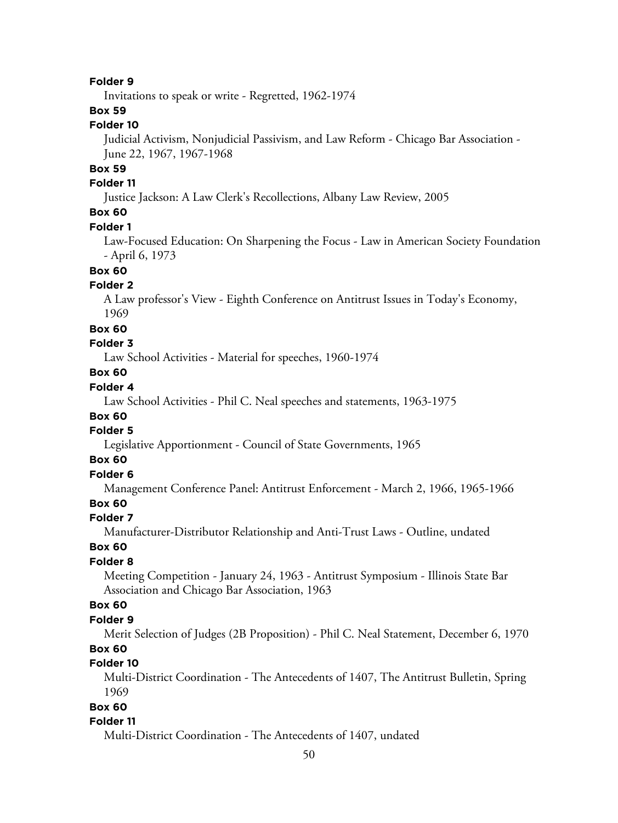Invitations to speak or write - Regretted, 1962-1974

# **Box 59**

### **Folder 10**

Judicial Activism, Nonjudicial Passivism, and Law Reform - Chicago Bar Association - June 22, 1967, 1967-1968

### **Box 59**

#### **Folder 11**

Justice Jackson: A Law Clerk's Recollections, Albany Law Review, 2005

# **Box 60**

#### **Folder 1**

Law-Focused Education: On Sharpening the Focus - Law in American Society Foundation - April 6, 1973

# **Box 60**

#### **Folder 2**

A Law professor's View - Eighth Conference on Antitrust Issues in Today's Economy, 1969

#### **Box 60**

#### **Folder 3**

Law School Activities - Material for speeches, 1960-1974

### **Box 60**

# **Folder 4**

Law School Activities - Phil C. Neal speeches and statements, 1963-1975

#### **Box 60**

# **Folder 5**

Legislative Apportionment - Council of State Governments, 1965

### **Box 60**

# **Folder 6**

Management Conference Panel: Antitrust Enforcement - March 2, 1966, 1965-1966

# **Box 60**

#### **Folder 7**

Manufacturer-Distributor Relationship and Anti-Trust Laws - Outline, undated

#### **Box 60**

#### **Folder 8**

Meeting Competition - January 24, 1963 - Antitrust Symposium - Illinois State Bar Association and Chicago Bar Association, 1963

#### **Box 60**

#### **Folder 9**

Merit Selection of Judges (2B Proposition) - Phil C. Neal Statement, December 6, 1970 **Box 60**

#### **Folder 10**

Multi-District Coordination - The Antecedents of 1407, The Antitrust Bulletin, Spring 1969

### **Box 60**

#### **Folder 11**

Multi-District Coordination - The Antecedents of 1407, undated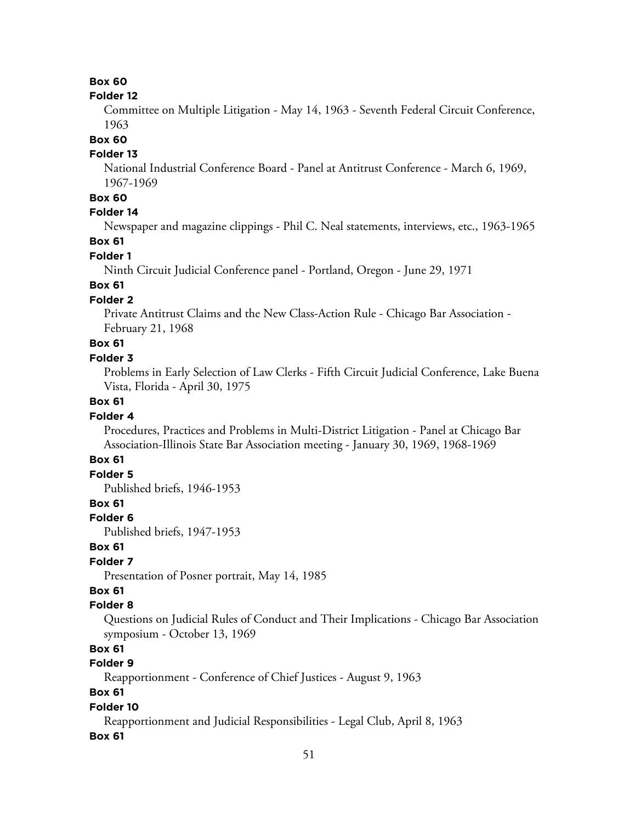# **Box 60**

#### **Folder 12**

Committee on Multiple Litigation - May 14, 1963 - Seventh Federal Circuit Conference, 1963

#### **Box 60**

#### **Folder 13**

National Industrial Conference Board - Panel at Antitrust Conference - March 6, 1969, 1967-1969

# **Box 60**

### **Folder 14**

Newspaper and magazine clippings - Phil C. Neal statements, interviews, etc., 1963-1965

### **Box 61**

# **Folder 1**

Ninth Circuit Judicial Conference panel - Portland, Oregon - June 29, 1971

# **Box 61**

### **Folder 2**

Private Antitrust Claims and the New Class-Action Rule - Chicago Bar Association - February 21, 1968

### **Box 61**

#### **Folder 3**

Problems in Early Selection of Law Clerks - Fifth Circuit Judicial Conference, Lake Buena Vista, Florida - April 30, 1975

### **Box 61**

#### **Folder 4**

Procedures, Practices and Problems in Multi-District Litigation - Panel at Chicago Bar Association-Illinois State Bar Association meeting - January 30, 1969, 1968-1969

# **Box 61**

# **Folder 5**

Published briefs, 1946-1953

# **Box 61**

#### **Folder 6**

Published briefs, 1947-1953

#### **Box 61**

### **Folder 7**

Presentation of Posner portrait, May 14, 1985

# **Box 61**

#### **Folder 8**

Questions on Judicial Rules of Conduct and Their Implications - Chicago Bar Association symposium - October 13, 1969

# **Box 61**

# **Folder 9**

Reapportionment - Conference of Chief Justices - August 9, 1963

### **Box 61**

#### **Folder 10**

Reapportionment and Judicial Responsibilities - Legal Club, April 8, 1963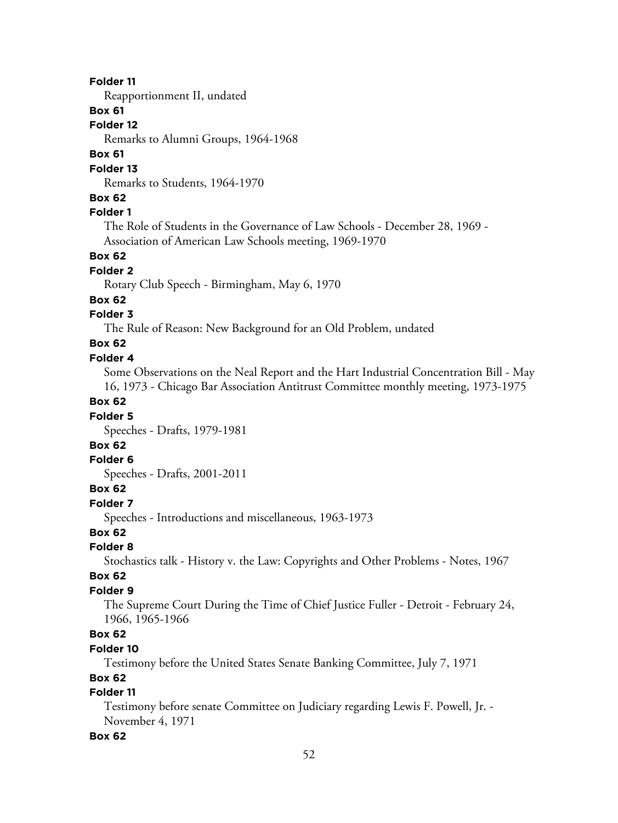Reapportionment II, undated

### **Box 61**

**Folder 12**

Remarks to Alumni Groups, 1964-1968

### **Box 61**

#### **Folder 13**

Remarks to Students, 1964-1970

#### **Box 62**

### **Folder 1**

The Role of Students in the Governance of Law Schools - December 28, 1969 - Association of American Law Schools meeting, 1969-1970

#### **Box 62**

#### **Folder 2**

Rotary Club Speech - Birmingham, May 6, 1970

#### **Box 62**

#### **Folder 3**

The Rule of Reason: New Background for an Old Problem, undated

# **Box 62**

#### **Folder 4**

Some Observations on the Neal Report and the Hart Industrial Concentration Bill - May 16, 1973 - Chicago Bar Association Antitrust Committee monthly meeting, 1973-1975

# **Box 62**

#### **Folder 5**

Speeches - Drafts, 1979-1981

# **Box 62**

#### **Folder 6**

Speeches - Drafts, 2001-2011

#### **Box 62**

#### **Folder 7**

Speeches - Introductions and miscellaneous, 1963-1973

# **Box 62**

### **Folder 8**

Stochastics talk - History v. the Law: Copyrights and Other Problems - Notes, 1967

#### **Box 62**

#### **Folder 9**

The Supreme Court During the Time of Chief Justice Fuller - Detroit - February 24, 1966, 1965-1966

# **Box 62**

#### **Folder 10**

Testimony before the United States Senate Banking Committee, July 7, 1971

#### **Box 62**

### **Folder 11**

Testimony before senate Committee on Judiciary regarding Lewis F. Powell, Jr. - November 4, 1971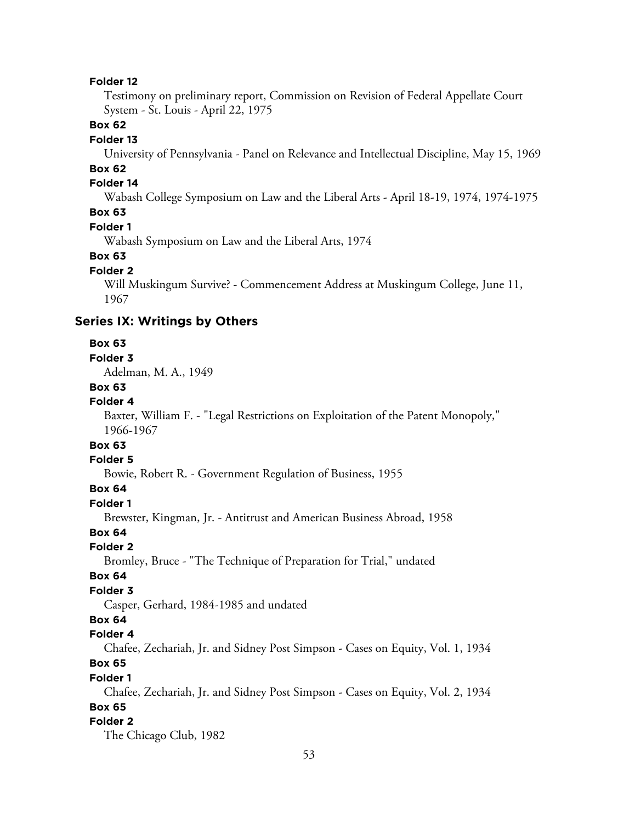Testimony on preliminary report, Commission on Revision of Federal Appellate Court System - St. Louis - April 22, 1975

# **Box 62**

#### **Folder 13**

University of Pennsylvania - Panel on Relevance and Intellectual Discipline, May 15, 1969

# **Box 62**

#### **Folder 14**

Wabash College Symposium on Law and the Liberal Arts - April 18-19, 1974, 1974-1975

### **Box 63**

#### **Folder 1**

Wabash Symposium on Law and the Liberal Arts, 1974

#### **Box 63**

### **Folder 2**

Will Muskingum Survive? - Commencement Address at Muskingum College, June 11, 1967

### **Series IX: Writings by Others**

#### **Box 63**

#### **Folder 3**

Adelman, M. A., 1949

#### **Box 63**

#### **Folder 4**

Baxter, William F. - "Legal Restrictions on Exploitation of the Patent Monopoly," 1966-1967

### **Box 63**

#### **Folder 5**

Bowie, Robert R. - Government Regulation of Business, 1955

#### **Box 64**

#### **Folder 1**

Brewster, Kingman, Jr. - Antitrust and American Business Abroad, 1958

### **Box 64**

#### **Folder 2**

Bromley, Bruce - "The Technique of Preparation for Trial," undated

#### **Box 64**

#### **Folder 3**

Casper, Gerhard, 1984-1985 and undated

### **Box 64**

#### **Folder 4**

Chafee, Zechariah, Jr. and Sidney Post Simpson - Cases on Equity, Vol. 1, 1934 **Box 65**

#### **Folder 1**

Chafee, Zechariah, Jr. and Sidney Post Simpson - Cases on Equity, Vol. 2, 1934 **Box 65**

#### **Folder 2**

The Chicago Club, 1982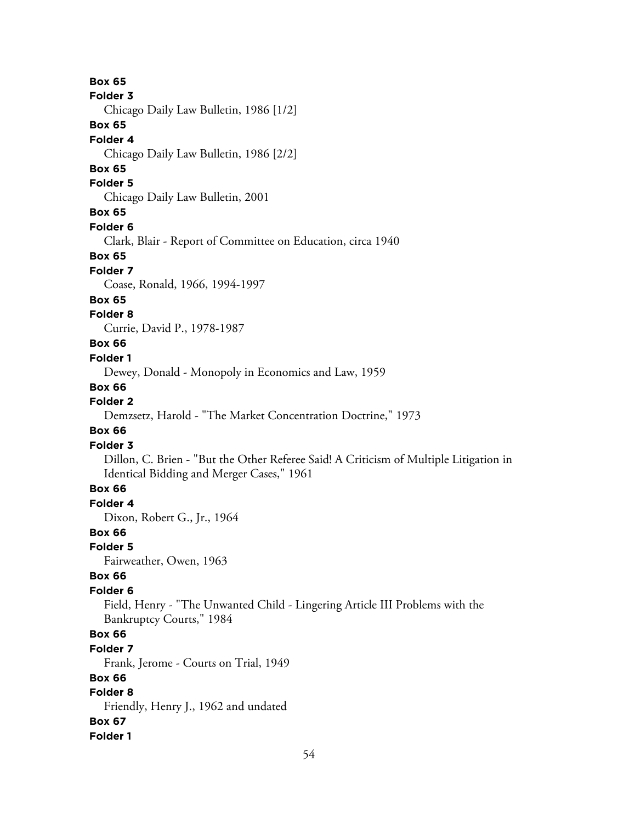54 **Box 65 Folder 3** Chicago Daily Law Bulletin, 1986 [1/2] **Box 65 Folder 4** Chicago Daily Law Bulletin, 1986 [2/2] **Box 65 Folder 5** Chicago Daily Law Bulletin, 2001 **Box 65 Folder 6** Clark, Blair - Report of Committee on Education, circa 1940 **Box 65 Folder 7** Coase, Ronald, 1966, 1994-1997 **Box 65 Folder 8** Currie, David P., 1978-1987 **Box 66 Folder 1** Dewey, Donald - Monopoly in Economics and Law, 1959 **Box 66 Folder 2** Demzsetz, Harold - "The Market Concentration Doctrine," 1973 **Box 66 Folder 3** Dillon, C. Brien - "But the Other Referee Said! A Criticism of Multiple Litigation in Identical Bidding and Merger Cases," 1961 **Box 66 Folder 4** Dixon, Robert G., Jr., 1964 **Box 66 Folder 5** Fairweather, Owen, 1963 **Box 66 Folder 6** Field, Henry - "The Unwanted Child - Lingering Article III Problems with the Bankruptcy Courts," 1984 **Box 66 Folder 7** Frank, Jerome - Courts on Trial, 1949 **Box 66 Folder 8** Friendly, Henry J., 1962 and undated **Box 67 Folder 1**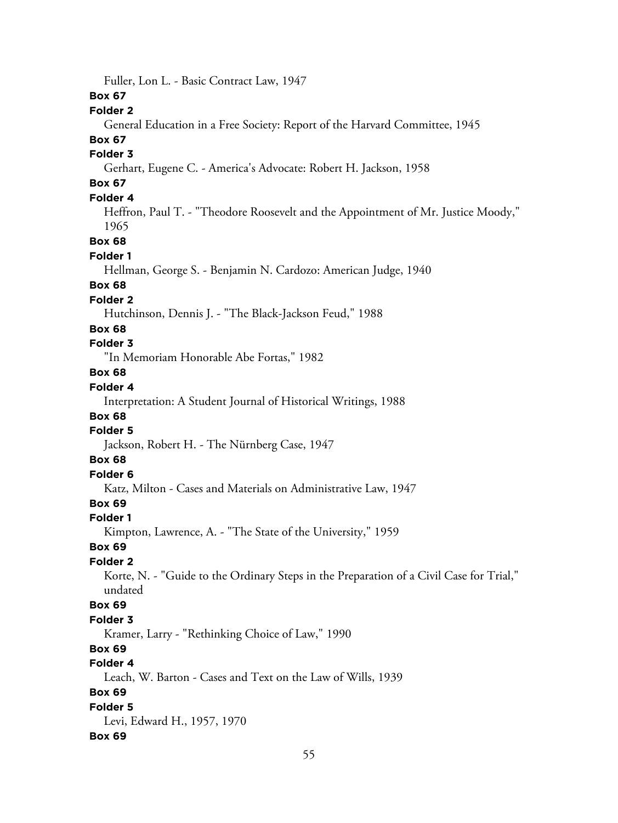Fuller, Lon L. - Basic Contract Law, 1947 **Box 67 Folder 2** General Education in a Free Society: Report of the Harvard Committee, 1945 **Box 67 Folder 3** Gerhart, Eugene C. - America's Advocate: Robert H. Jackson, 1958 **Box 67 Folder 4** Heffron, Paul T. - "Theodore Roosevelt and the Appointment of Mr. Justice Moody," 1965 **Box 68 Folder 1** Hellman, George S. - Benjamin N. Cardozo: American Judge, 1940 **Box 68 Folder 2** Hutchinson, Dennis J. - "The Black-Jackson Feud," 1988 **Box 68 Folder 3** "In Memoriam Honorable Abe Fortas," 1982 **Box 68 Folder 4** Interpretation: A Student Journal of Historical Writings, 1988 **Box 68 Folder 5** Jackson, Robert H. - The Nürnberg Case, 1947 **Box 68 Folder 6** Katz, Milton - Cases and Materials on Administrative Law, 1947 **Box 69 Folder 1** Kimpton, Lawrence, A. - "The State of the University," 1959 **Box 69 Folder 2** Korte, N. - "Guide to the Ordinary Steps in the Preparation of a Civil Case for Trial," undated **Box 69 Folder 3** Kramer, Larry - "Rethinking Choice of Law," 1990 **Box 69 Folder 4** Leach, W. Barton - Cases and Text on the Law of Wills, 1939 **Box 69 Folder 5** Levi, Edward H., 1957, 1970 **Box 69**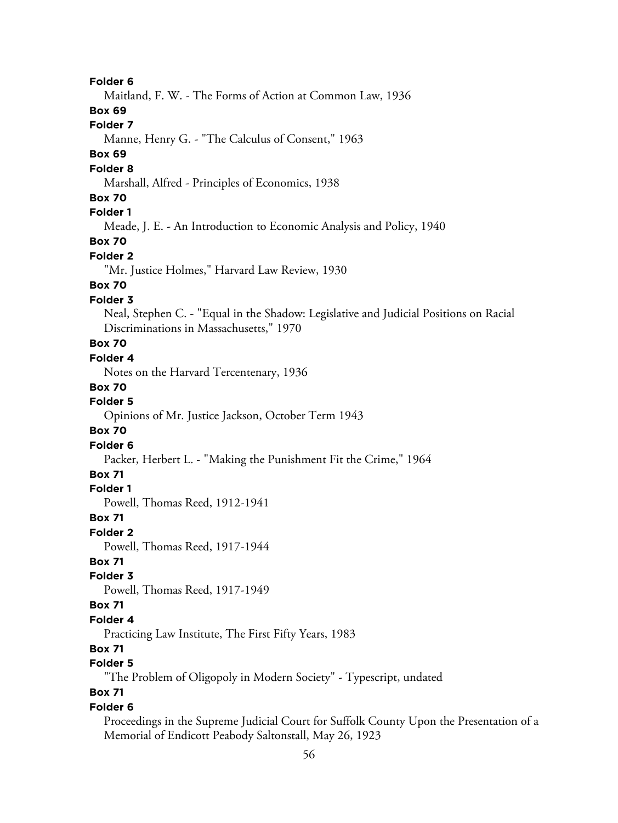Maitland, F. W. - The Forms of Action at Common Law, 1936

**Box 69**

# **Folder 7**

Manne, Henry G. - "The Calculus of Consent," 1963

### **Box 69**

#### **Folder 8**

Marshall, Alfred - Principles of Economics, 1938

### **Box 70**

# **Folder 1**

Meade, J. E. - An Introduction to Economic Analysis and Policy, 1940

# **Box 70**

#### **Folder 2**

"Mr. Justice Holmes," Harvard Law Review, 1930

# **Box 70**

### **Folder 3**

Neal, Stephen C. - "Equal in the Shadow: Legislative and Judicial Positions on Racial Discriminations in Massachusetts," 1970

# **Box 70**

# **Folder 4**

Notes on the Harvard Tercentenary, 1936

#### **Box 70**

### **Folder 5**

Opinions of Mr. Justice Jackson, October Term 1943

#### **Box 70**

#### **Folder 6**

Packer, Herbert L. - "Making the Punishment Fit the Crime," 1964

### **Box 71**

#### **Folder 1**

Powell, Thomas Reed, 1912-1941

#### **Box 71**

**Folder 2**

Powell, Thomas Reed, 1917-1944

# **Box 71**

# **Folder 3**

Powell, Thomas Reed, 1917-1949

#### **Box 71**

#### **Folder 4**

Practicing Law Institute, The First Fifty Years, 1983

# **Box 71**

# **Folder 5**

"The Problem of Oligopoly in Modern Society" - Typescript, undated

# **Box 71**

#### **Folder 6**

Proceedings in the Supreme Judicial Court for Suffolk County Upon the Presentation of a Memorial of Endicott Peabody Saltonstall, May 26, 1923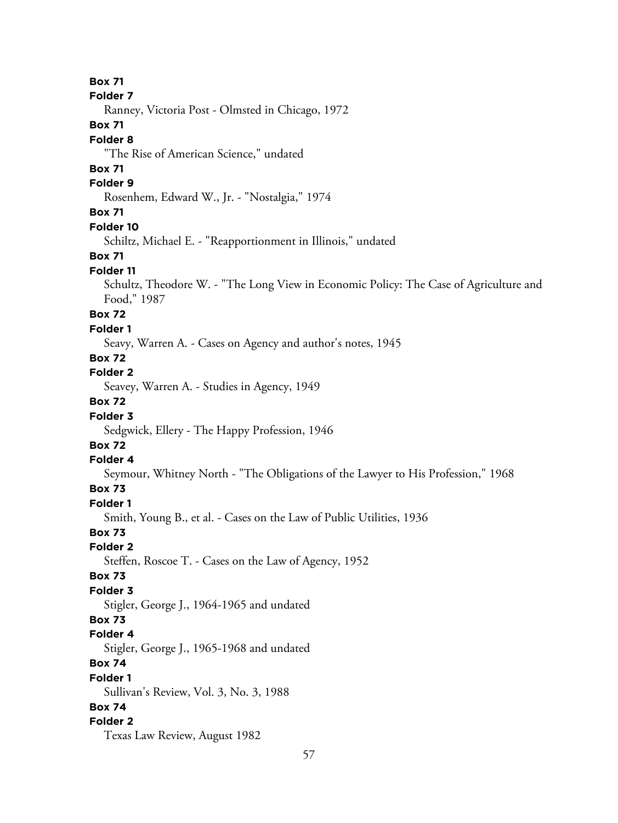**Box 71 Folder 7** Ranney, Victoria Post - Olmsted in Chicago, 1972 **Box 71 Folder 8** "The Rise of American Science," undated **Box 71 Folder 9** Rosenhem, Edward W., Jr. - "Nostalgia," 1974 **Box 71 Folder 10** Schiltz, Michael E. - "Reapportionment in Illinois," undated **Box 71 Folder 11** Schultz, Theodore W. - "The Long View in Economic Policy: The Case of Agriculture and Food," 1987 **Box 72 Folder 1** Seavy, Warren A. - Cases on Agency and author's notes, 1945 **Box 72 Folder 2** Seavey, Warren A. - Studies in Agency, 1949 **Box 72 Folder 3** Sedgwick, Ellery - The Happy Profession, 1946 **Box 72 Folder 4** Seymour, Whitney North - "The Obligations of the Lawyer to His Profession," 1968 **Box 73 Folder 1** Smith, Young B., et al. - Cases on the Law of Public Utilities, 1936 **Box 73 Folder 2** Steffen, Roscoe T. - Cases on the Law of Agency, 1952 **Box 73 Folder 3** Stigler, George J., 1964-1965 and undated **Box 73 Folder 4** Stigler, George J., 1965-1968 and undated **Box 74 Folder 1** Sullivan's Review, Vol. 3, No. 3, 1988 **Box 74 Folder 2** Texas Law Review, August 1982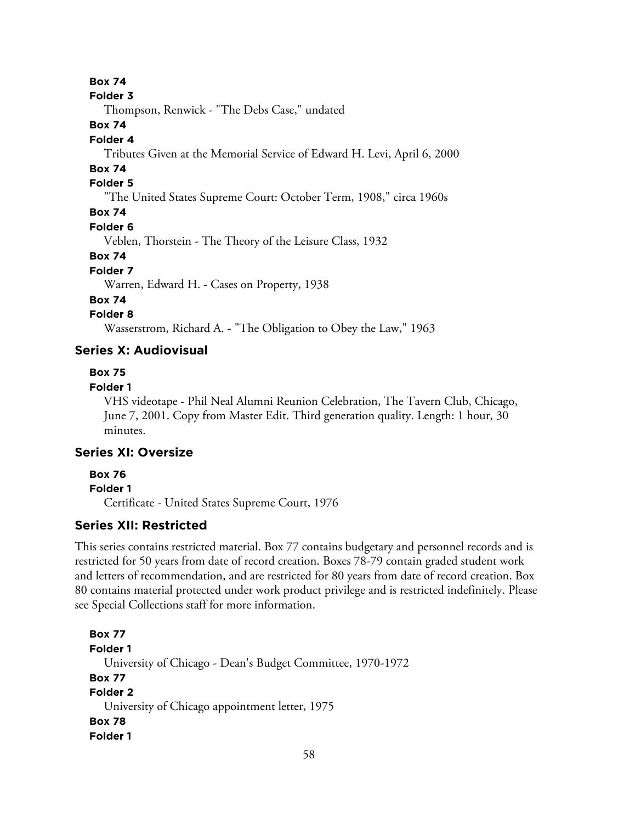**Box 74**

#### **Folder 3**

Thompson, Renwick - "The Debs Case," undated

# **Box 74**

#### **Folder 4**

Tributes Given at the Memorial Service of Edward H. Levi, April 6, 2000

# **Box 74**

# **Folder 5**

"The United States Supreme Court: October Term, 1908," circa 1960s

# **Box 74**

#### **Folder 6**

Veblen, Thorstein - The Theory of the Leisure Class, 1932

#### **Box 74**

#### **Folder 7**

Warren, Edward H. - Cases on Property, 1938

### **Box 74**

# **Folder 8**

Wasserstrom, Richard A. - "The Obligation to Obey the Law," 1963

# **Series X: Audiovisual**

# **Box 75**

# **Folder 1**

VHS videotape - Phil Neal Alumni Reunion Celebration, The Tavern Club, Chicago, June 7, 2001. Copy from Master Edit. Third generation quality. Length: 1 hour, 30 minutes.

# **Series XI: Oversize**

### **Box 76**

### **Folder 1**

Certificate - United States Supreme Court, 1976

# **Series XII: Restricted**

This series contains restricted material. Box 77 contains budgetary and personnel records and is restricted for 50 years from date of record creation. Boxes 78-79 contain graded student work and letters of recommendation, and are restricted for 80 years from date of record creation. Box 80 contains material protected under work product privilege and is restricted indefinitely. Please see Special Collections staff for more information.

# **Box 77 Folder 1** University of Chicago - Dean's Budget Committee, 1970-1972 **Box 77 Folder 2** University of Chicago appointment letter, 1975 **Box 78 Folder 1**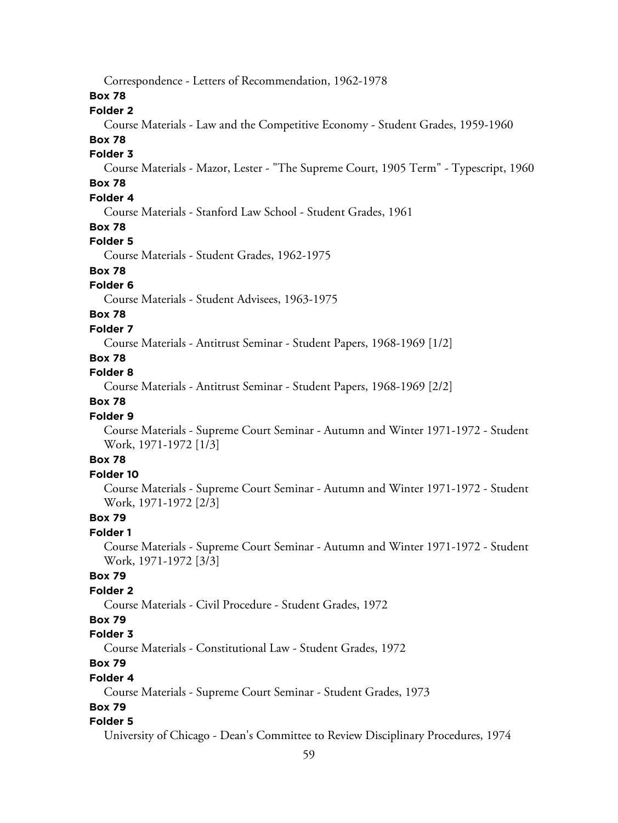Correspondence - Letters of Recommendation, 1962-1978

**Box 78**

#### **Folder 2**

Course Materials - Law and the Competitive Economy - Student Grades, 1959-1960

# **Box 78**

### **Folder 3**

Course Materials - Mazor, Lester - "The Supreme Court, 1905 Term" - Typescript, 1960

# **Box 78**

# **Folder 4**

Course Materials - Stanford Law School - Student Grades, 1961

# **Box 78**

### **Folder 5**

Course Materials - Student Grades, 1962-1975

# **Box 78**

### **Folder 6**

Course Materials - Student Advisees, 1963-1975

# **Box 78**

#### **Folder 7**

Course Materials - Antitrust Seminar - Student Papers, 1968-1969 [1/2]

### **Box 78**

# **Folder 8**

Course Materials - Antitrust Seminar - Student Papers, 1968-1969 [2/2]

# **Box 78**

#### **Folder 9**

Course Materials - Supreme Court Seminar - Autumn and Winter 1971-1972 - Student Work, 1971-1972 [1/3]

### **Box 78**

#### **Folder 10**

Course Materials - Supreme Court Seminar - Autumn and Winter 1971-1972 - Student Work, 1971-1972 [2/3]

### **Box 79**

#### **Folder 1**

Course Materials - Supreme Court Seminar - Autumn and Winter 1971-1972 - Student Work, 1971-1972 [3/3]

### **Box 79**

#### **Folder 2**

Course Materials - Civil Procedure - Student Grades, 1972

# **Box 79**

### **Folder 3**

Course Materials - Constitutional Law - Student Grades, 1972

# **Box 79**

#### **Folder 4**

Course Materials - Supreme Court Seminar - Student Grades, 1973

#### **Box 79**

#### **Folder 5**

University of Chicago - Dean's Committee to Review Disciplinary Procedures, 1974